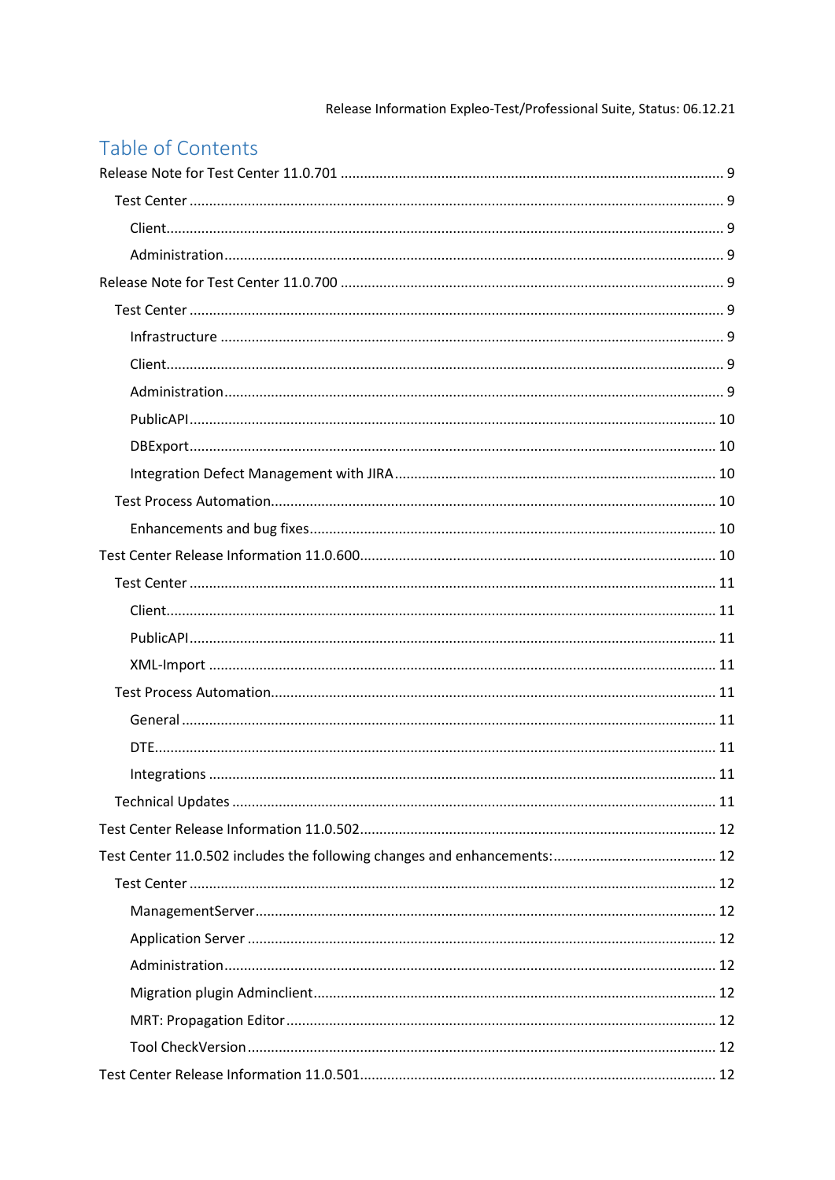## Release Information Expleo-Test/Professional Suite, Status: 06.12.21

# Table of Contents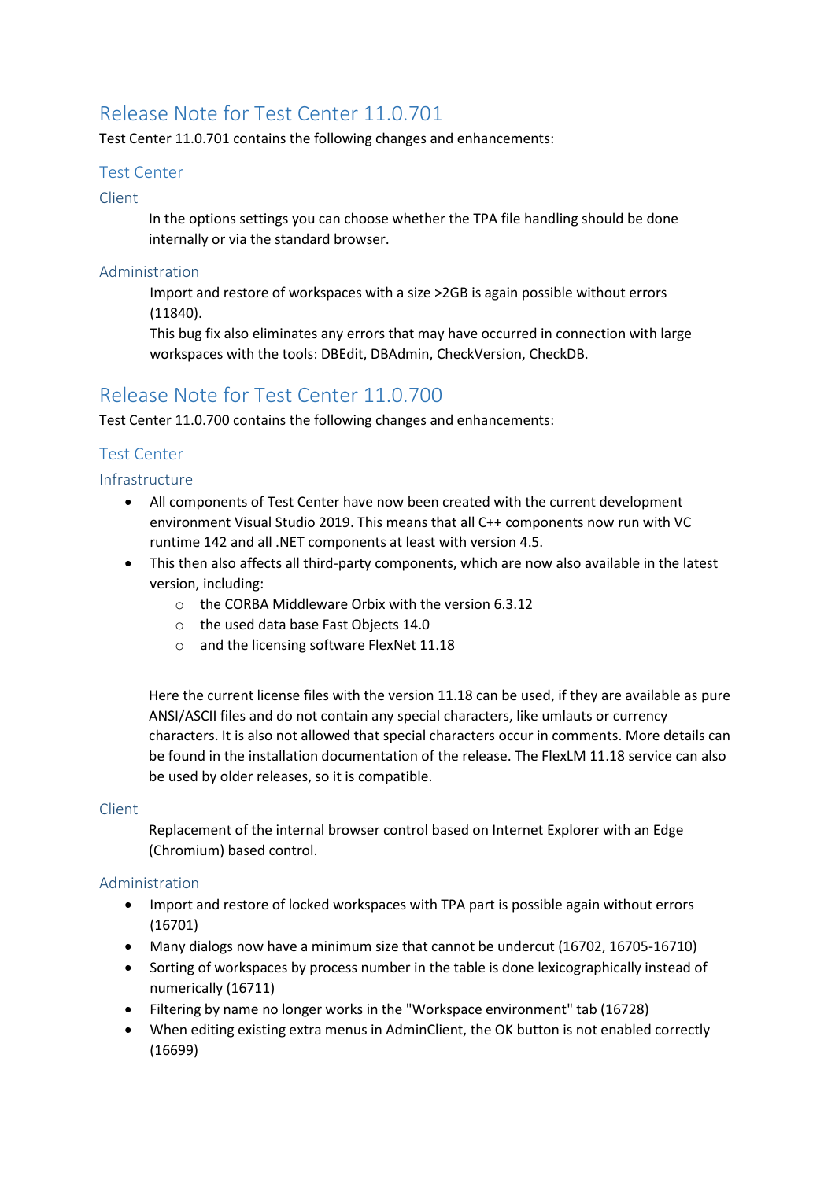## <span id="page-8-0"></span>Release Note for Test Center 11.0.701

Test Center 11.0.701 contains the following changes and enhancements:

## <span id="page-8-1"></span>Test Center

<span id="page-8-2"></span>Client

In the options settings you can choose whether the TPA file handling should be done internally or via the standard browser.

#### <span id="page-8-3"></span>Administration

Import and restore of workspaces with a size >2GB is again possible without errors (11840).

This bug fix also eliminates any errors that may have occurred in connection with large workspaces with the tools: DBEdit, DBAdmin, CheckVersion, CheckDB.

## <span id="page-8-4"></span>Release Note for Test Center 11.0.700

Test Center 11.0.700 contains the following changes and enhancements:

## <span id="page-8-5"></span>Test Center

<span id="page-8-6"></span>Infrastructure

- All components of Test Center have now been created with the current development environment Visual Studio 2019. This means that all C++ components now run with VC runtime 142 and all .NET components at least with version 4.5.
- This then also affects all third-party components, which are now also available in the latest version, including:
	- o the CORBA Middleware Orbix with the version 6.3.12
	- o the used data base Fast Objects 14.0
	- o and the licensing software FlexNet 11.18

Here the current license files with the version 11.18 can be used, if they are available as pure ANSI/ASCII files and do not contain any special characters, like umlauts or currency characters. It is also not allowed that special characters occur in comments. More details can be found in the installation documentation of the release. The FlexLM 11.18 service can also be used by older releases, so it is compatible.

#### <span id="page-8-7"></span>Client

Replacement of the internal browser control based on Internet Explorer with an Edge (Chromium) based control.

## <span id="page-8-8"></span>Administration

- Import and restore of locked workspaces with TPA part is possible again without errors (16701)
- Many dialogs now have a minimum size that cannot be undercut (16702, 16705-16710)
- Sorting of workspaces by process number in the table is done lexicographically instead of numerically (16711)
- Filtering by name no longer works in the "Workspace environment" tab (16728)
- When editing existing extra menus in AdminClient, the OK button is not enabled correctly (16699)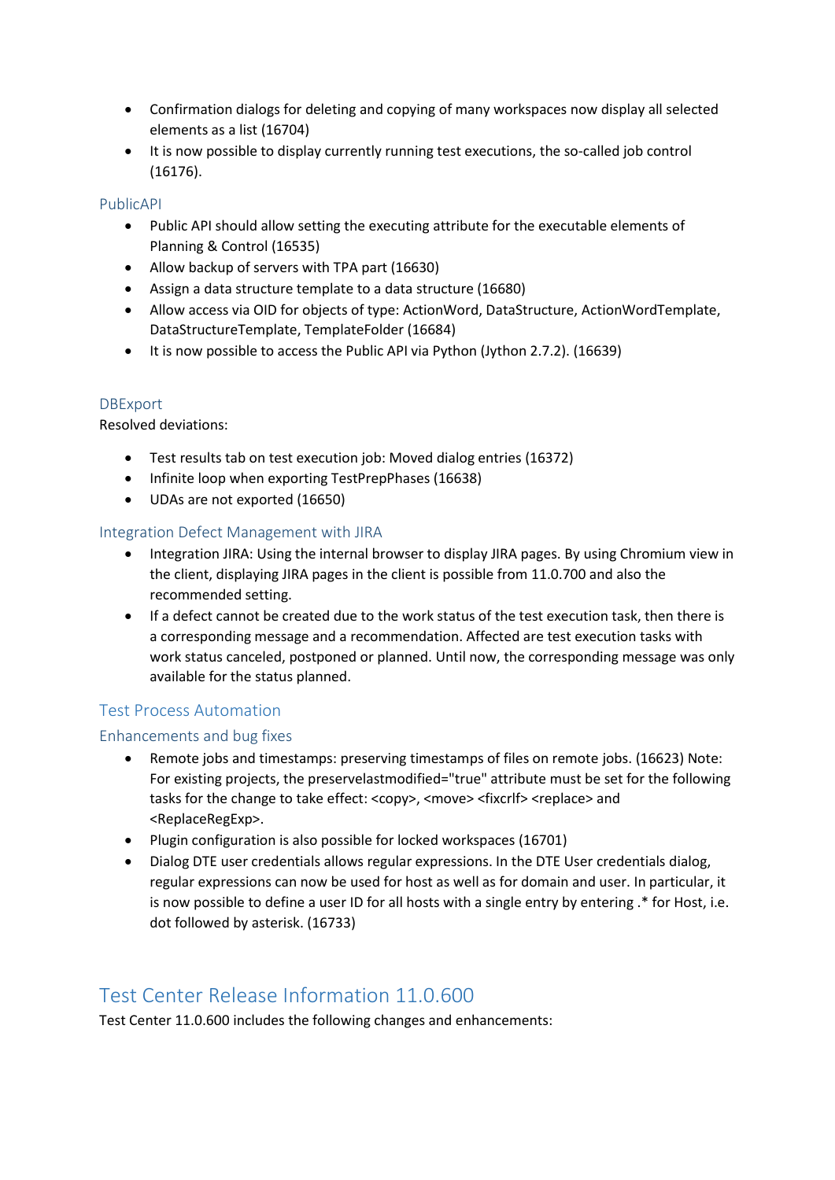- Confirmation dialogs for deleting and copying of many workspaces now display all selected elements as a list (16704)
- It is now possible to display currently running test executions, the so-called job control (16176).

## <span id="page-9-0"></span>PublicAPI

- Public API should allow setting the executing attribute for the executable elements of Planning & Control (16535)
- Allow backup of servers with TPA part (16630)
- Assign a data structure template to a data structure (16680)
- Allow access via OID for objects of type: ActionWord, DataStructure, ActionWordTemplate, DataStructureTemplate, TemplateFolder (16684)
- It is now possible to access the Public API via Python (Jython 2.7.2). (16639)

## <span id="page-9-1"></span>**DBExport**

Resolved deviations:

- Test results tab on test execution job: Moved dialog entries (16372)
- Infinite loop when exporting TestPrepPhases (16638)
- UDAs are not exported (16650)

## <span id="page-9-2"></span>Integration Defect Management with JIRA

- Integration JIRA: Using the internal browser to display JIRA pages. By using Chromium view in the client, displaying JIRA pages in the client is possible from 11.0.700 and also the recommended setting.
- If a defect cannot be created due to the work status of the test execution task, then there is a corresponding message and a recommendation. Affected are test execution tasks with work status canceled, postponed or planned. Until now, the corresponding message was only available for the status planned.

## <span id="page-9-3"></span>Test Process Automation

## <span id="page-9-4"></span>Enhancements and bug fixes

- Remote jobs and timestamps: preserving timestamps of files on remote jobs. (16623) Note: For existing projects, the preservelastmodified="true" attribute must be set for the following tasks for the change to take effect: <copy>, <move> <fixcrlf> <replace> and <ReplaceRegExp>.
- Plugin configuration is also possible for locked workspaces (16701)
- Dialog DTE user credentials allows regular expressions. In the DTE User credentials dialog, regular expressions can now be used for host as well as for domain and user. In particular, it is now possible to define a user ID for all hosts with a single entry by entering .\* for Host, i.e. dot followed by asterisk. (16733)

## <span id="page-9-5"></span>Test Center Release Information 11.0.600

Test Center 11.0.600 includes the following changes and enhancements: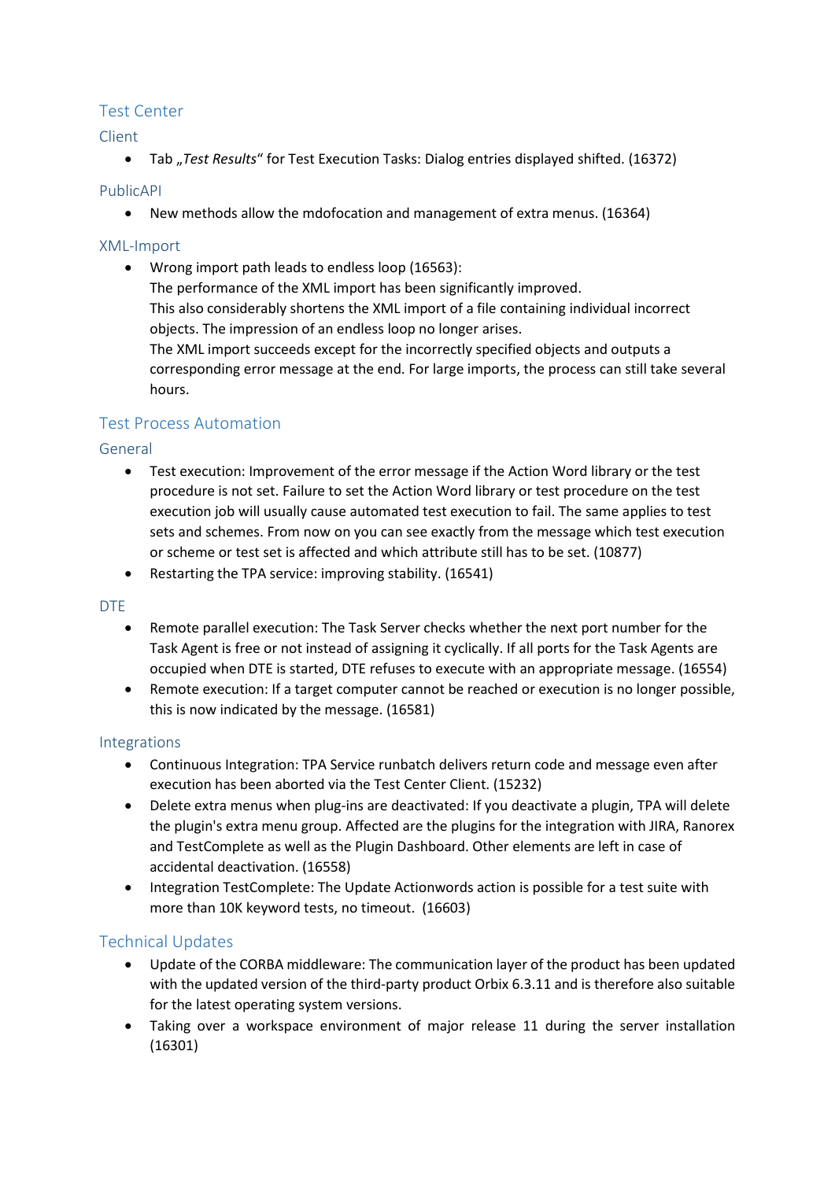## <span id="page-10-0"></span>Test Center

<span id="page-10-1"></span>Client

• Tab "Test Results" for Test Execution Tasks: Dialog entries displayed shifted. (16372)

## <span id="page-10-2"></span>PublicAPI

• New methods allow the mdofocation and management of extra menus. (16364)

## <span id="page-10-3"></span>XML-Import

• Wrong import path leads to endless loop (16563): The performance of the XML import has been significantly improved. This also considerably shortens the XML import of a file containing individual incorrect objects. The impression of an endless loop no longer arises. The XML import succeeds except for the incorrectly specified objects and outputs a corresponding error message at the end. For large imports, the process can still take several hours.

## <span id="page-10-4"></span>Test Process Automation

<span id="page-10-5"></span>General

• Test execution: Improvement of the error message if the Action Word library or the test procedure is not set. Failure to set the Action Word library or test procedure on the test execution job will usually cause automated test execution to fail. The same applies to test sets and schemes. From now on you can see exactly from the message which test execution or scheme or test set is affected and which attribute still has to be set. (10877)

• Restarting the TPA service: improving stability. (16541)

## <span id="page-10-6"></span>DTE

- Remote parallel execution: The Task Server checks whether the next port number for the Task Agent is free or not instead of assigning it cyclically. If all ports for the Task Agents are occupied when DTE is started, DTE refuses to execute with an appropriate message. (16554)
- Remote execution: If a target computer cannot be reached or execution is no longer possible, this is now indicated by the message. (16581)

## <span id="page-10-7"></span>Integrations

- Continuous Integration: TPA Service runbatch delivers return code and message even after execution has been aborted via the Test Center Client. (15232)
- Delete extra menus when plug-ins are deactivated: If you deactivate a plugin, TPA will delete the plugin's extra menu group. Affected are the plugins for the integration with JIRA, Ranorex and TestComplete as well as the Plugin Dashboard. Other elements are left in case of accidental deactivation. (16558)
- Integration TestComplete: The Update Actionwords action is possible for a test suite with more than 10K keyword tests, no timeout. (16603)

## <span id="page-10-8"></span>Technical Updates

- Update of the CORBA middleware: The communication layer of the product has been updated with the updated version of the third-party product Orbix 6.3.11 and is therefore also suitable for the latest operating system versions.
- Taking over a workspace environment of major release 11 during the server installation (16301)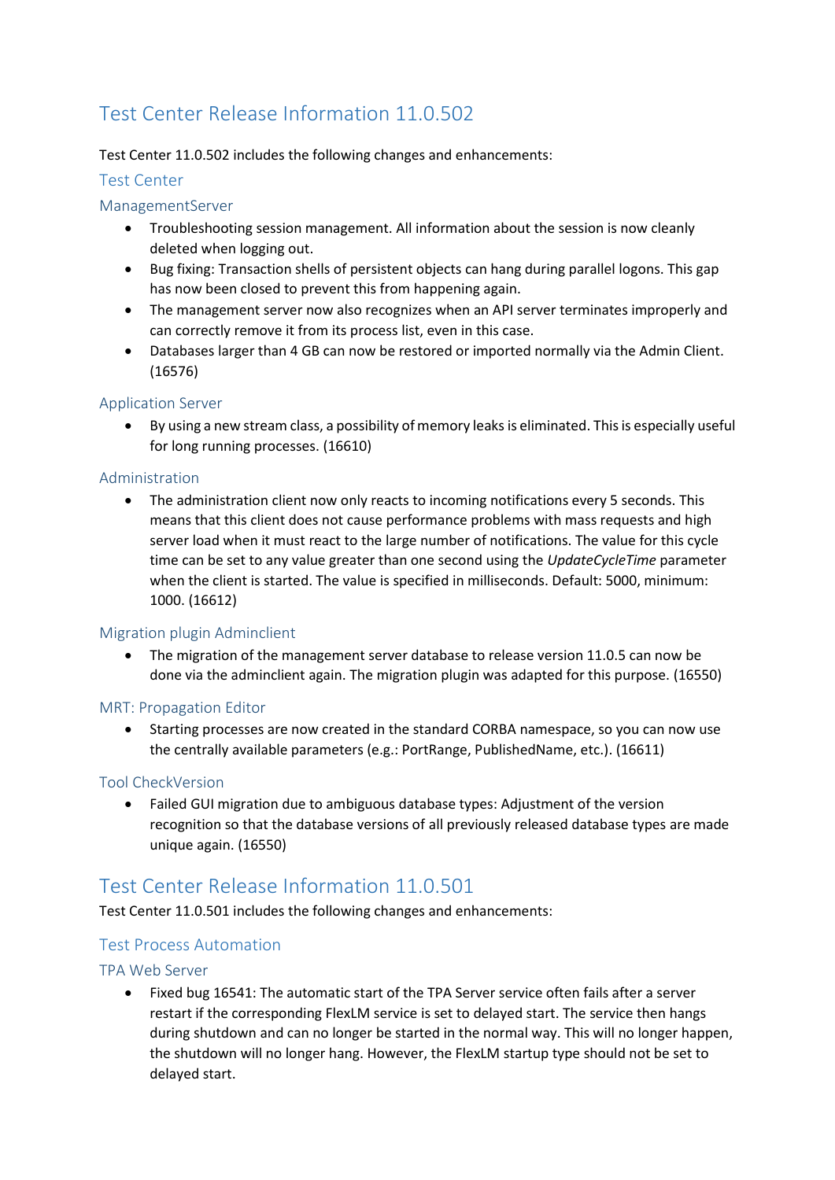## <span id="page-11-1"></span><span id="page-11-0"></span>Test Center 11.0.502 includes the following changes and enhancements:

## <span id="page-11-2"></span>Test Center

## <span id="page-11-3"></span>ManagementServer

- Troubleshooting session management. All information about the session is now cleanly deleted when logging out.
- Bug fixing: Transaction shells of persistent objects can hang during parallel logons. This gap has now been closed to prevent this from happening again.
- The management server now also recognizes when an API server terminates improperly and can correctly remove it from its process list, even in this case.
- Databases larger than 4 GB can now be restored or imported normally via the Admin Client. (16576)

## <span id="page-11-4"></span>Application Server

• By using a new stream class, a possibility of memory leaks is eliminated. This is especially useful for long running processes. (16610)

## <span id="page-11-5"></span>Administration

• The administration client now only reacts to incoming notifications every 5 seconds. This means that this client does not cause performance problems with mass requests and high server load when it must react to the large number of notifications. The value for this cycle time can be set to any value greater than one second using the *UpdateCycleTime* parameter when the client is started. The value is specified in milliseconds. Default: 5000, minimum: 1000. (16612)

## <span id="page-11-6"></span>Migration plugin Adminclient

• The migration of the management server database to release version 11.0.5 can now be done via the adminclient again. The migration plugin was adapted for this purpose. (16550)

## <span id="page-11-7"></span>MRT: Propagation Editor

• Starting processes are now created in the standard CORBA namespace, so you can now use the centrally available parameters (e.g.: PortRange, PublishedName, etc.). (16611)

## <span id="page-11-8"></span>Tool CheckVersion

• Failed GUI migration due to ambiguous database types: Adjustment of the version recognition so that the database versions of all previously released database types are made unique again. (16550)

## <span id="page-11-9"></span>Test Center Release Information 11.0.501

Test Center 11.0.501 includes the following changes and enhancements:

## <span id="page-11-10"></span>Test Process Automation

## <span id="page-11-11"></span>TPA Web Server

• Fixed bug 16541: The automatic start of the TPA Server service often fails after a server restart if the corresponding FlexLM service is set to delayed start. The service then hangs during shutdown and can no longer be started in the normal way. This will no longer happen, the shutdown will no longer hang. However, the FlexLM startup type should not be set to delayed start.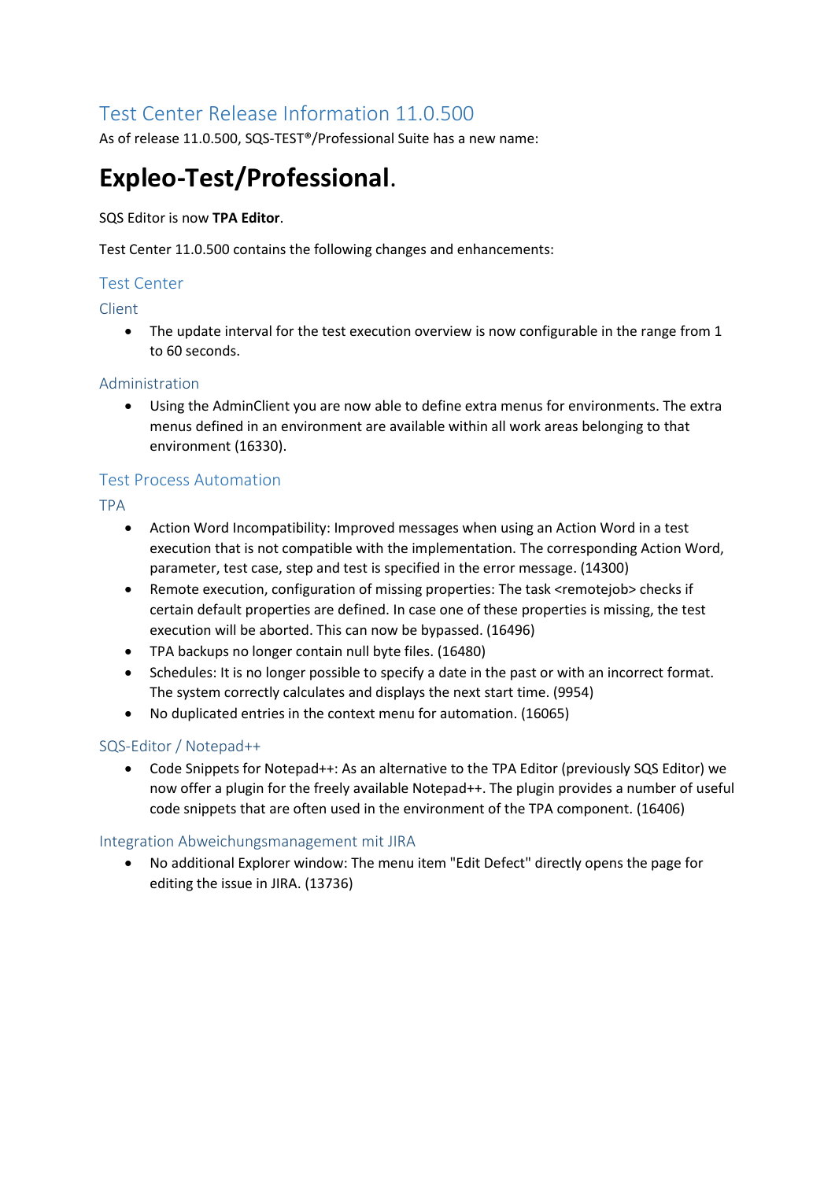<span id="page-12-0"></span>As of release 11.0.500, SQS-TEST®/Professional Suite has a new name:

# **Expleo-Test/Professional**.

## SQS Editor is now **TPA Editor**.

Test Center 11.0.500 contains the following changes and enhancements:

## <span id="page-12-1"></span>Test Center

## <span id="page-12-2"></span>Client

• The update interval for the test execution overview is now configurable in the range from 1 to 60 seconds.

## <span id="page-12-3"></span>Administration

• Using the AdminClient you are now able to define extra menus for environments. The extra menus defined in an environment are available within all work areas belonging to that environment (16330).

## <span id="page-12-4"></span>Test Process Automation

<span id="page-12-5"></span>TPA

- Action Word Incompatibility: Improved messages when using an Action Word in a test execution that is not compatible with the implementation. The corresponding Action Word, parameter, test case, step and test is specified in the error message. (14300)
- Remote execution, configuration of missing properties: The task <remotejob> checks if certain default properties are defined. In case one of these properties is missing, the test execution will be aborted. This can now be bypassed. (16496)
- TPA backups no longer contain null byte files. (16480)
- Schedules: It is no longer possible to specify a date in the past or with an incorrect format. The system correctly calculates and displays the next start time. (9954)
- No duplicated entries in the context menu for automation. (16065)

## <span id="page-12-6"></span>SQS-Editor / Notepad++

• Code Snippets for Notepad++: As an alternative to the TPA Editor (previously SQS Editor) we now offer a plugin for the freely available Notepad++. The plugin provides a number of useful code snippets that are often used in the environment of the TPA component. (16406)

## <span id="page-12-7"></span>Integration Abweichungsmanagement mit JIRA

• No additional Explorer window: The menu item "Edit Defect" directly opens the page for editing the issue in JIRA. (13736)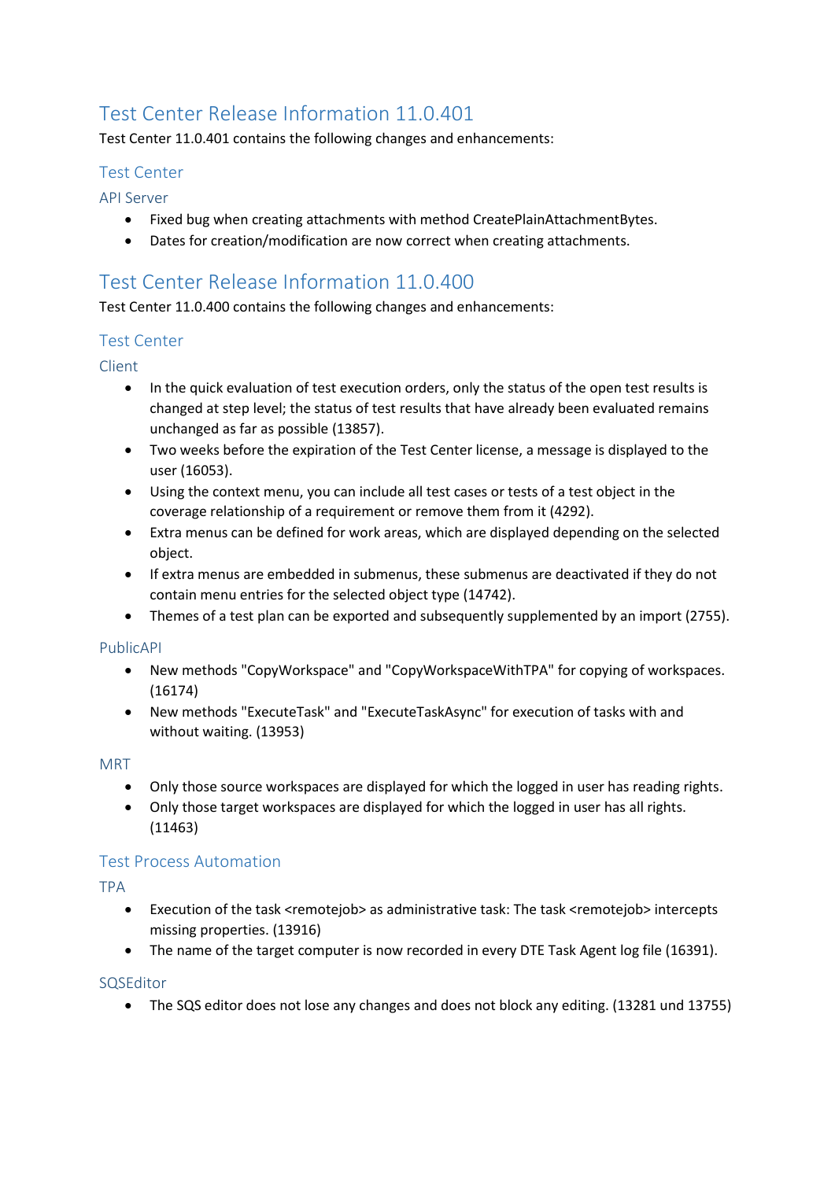<span id="page-13-0"></span>Test Center 11.0.401 contains the following changes and enhancements:

## <span id="page-13-1"></span>Test Center

<span id="page-13-2"></span>API Server

- Fixed bug when creating attachments with method CreatePlainAttachmentBytes.
- Dates for creation/modification are now correct when creating attachments.

## <span id="page-13-3"></span>Test Center Release Information 11.0.400

Test Center 11.0.400 contains the following changes and enhancements:

## <span id="page-13-4"></span>Test Center

<span id="page-13-5"></span>Client

- In the quick evaluation of test execution orders, only the status of the open test results is changed at step level; the status of test results that have already been evaluated remains unchanged as far as possible (13857).
- Two weeks before the expiration of the Test Center license, a message is displayed to the user (16053).
- Using the context menu, you can include all test cases or tests of a test object in the coverage relationship of a requirement or remove them from it (4292).
- Extra menus can be defined for work areas, which are displayed depending on the selected object.
- If extra menus are embedded in submenus, these submenus are deactivated if they do not contain menu entries for the selected object type (14742).
- Themes of a test plan can be exported and subsequently supplemented by an import (2755).

## <span id="page-13-6"></span>PublicAPI

- New methods "CopyWorkspace" and "CopyWorkspaceWithTPA" for copying of workspaces. (16174)
- New methods "ExecuteTask" and "ExecuteTaskAsync" for execution of tasks with and without waiting. (13953)

## <span id="page-13-7"></span>**MRT**

- Only those source workspaces are displayed for which the logged in user has reading rights.
- Only those target workspaces are displayed for which the logged in user has all rights. (11463)

## <span id="page-13-8"></span>Test Process Automation

<span id="page-13-9"></span>TPA

- Execution of the task <remotejob> as administrative task: The task <remotejob> intercepts missing properties. (13916)
- The name of the target computer is now recorded in every DTE Task Agent log file (16391).

## <span id="page-13-10"></span>SQSEditor

• The SQS editor does not lose any changes and does not block any editing. (13281 und 13755)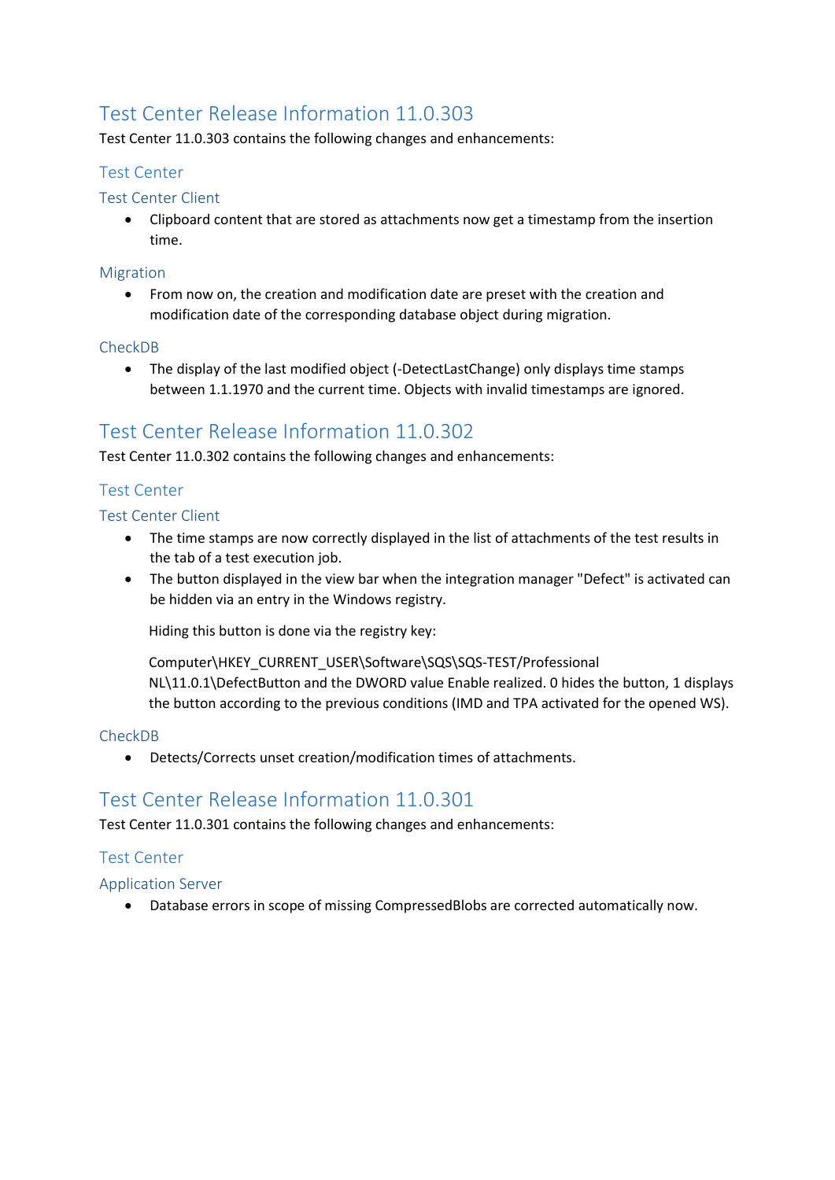<span id="page-15-0"></span>Test Center 11.0.303 contains the following changes and enhancements:

## <span id="page-15-1"></span>Test Center

## <span id="page-15-2"></span>Test Center Client

• Clipboard content that are stored as attachments now get a timestamp from the insertion time.

## <span id="page-15-3"></span>Migration

• From now on, the creation and modification date are preset with the creation and modification date of the corresponding database object during migration.

## <span id="page-15-4"></span>CheckDB

• The display of the last modified object (-DetectLastChange) only displays time stamps between 1.1.1970 and the current time. Objects with invalid timestamps are ignored.

## <span id="page-15-5"></span>Test Center Release Information 11.0.302

Test Center 11.0.302 contains the following changes and enhancements:

## <span id="page-15-6"></span>Test Center

## <span id="page-15-7"></span>Test Center Client

- The time stamps are now correctly displayed in the list of attachments of the test results in the tab of a test execution job.
- The button displayed in the view bar when the integration manager "Defect" is activated can be hidden via an entry in the Windows registry.

Hiding this button is done via the registry key:

Computer\HKEY\_CURRENT\_USER\Software\SQS\SQS-TEST/Professional NL\11.0.1\DefectButton and the DWORD value Enable realized. 0 hides the button, 1 displays the button according to the previous conditions (IMD and TPA activated for the opened WS).

## <span id="page-15-8"></span>CheckDB

• Detects/Corrects unset creation/modification times of attachments.

## <span id="page-15-9"></span>Test Center Release Information 11.0.301

Test Center 11.0.301 contains the following changes and enhancements:

## <span id="page-15-10"></span>Test Center

## <span id="page-15-11"></span>Application Server

• Database errors in scope of missing CompressedBlobs are corrected automatically now.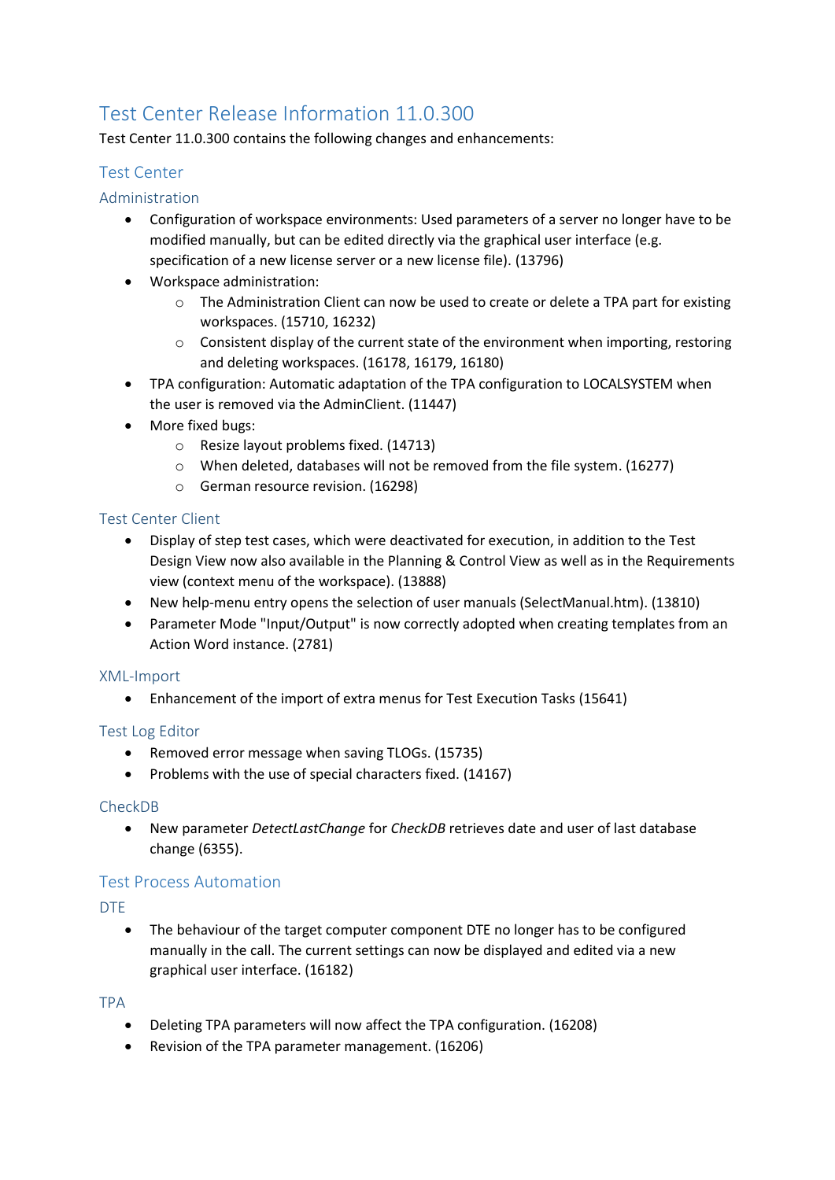<span id="page-16-0"></span>Test Center 11.0.300 contains the following changes and enhancements:

## <span id="page-16-1"></span>Test Center

## <span id="page-16-2"></span>Administration

- Configuration of workspace environments: Used parameters of a server no longer have to be modified manually, but can be edited directly via the graphical user interface (e.g. specification of a new license server or a new license file). (13796)
- Workspace administration:
	- $\circ$  The Administration Client can now be used to create or delete a TPA part for existing workspaces. (15710, 16232)
	- $\circ$  Consistent display of the current state of the environment when importing, restoring and deleting workspaces. (16178, 16179, 16180)
- TPA configuration: Automatic adaptation of the TPA configuration to LOCALSYSTEM when the user is removed via the AdminClient. (11447)
- More fixed bugs:
	- o Resize layout problems fixed. (14713)
	- o When deleted, databases will not be removed from the file system. (16277)
	- o German resource revision. (16298)

## <span id="page-16-3"></span>Test Center Client

- Display of step test cases, which were deactivated for execution, in addition to the Test Design View now also available in the Planning & Control View as well as in the Requirements view (context menu of the workspace). (13888)
- New help-menu entry opens the selection of user manuals (SelectManual.htm). (13810)
- Parameter Mode "Input/Output" is now correctly adopted when creating templates from an Action Word instance. (2781)

## <span id="page-16-4"></span>XML-Import

• Enhancement of the import of extra menus for Test Execution Tasks (15641)

## <span id="page-16-5"></span>Test Log Editor

- Removed error message when saving TLOGs. (15735)
- Problems with the use of special characters fixed. (14167)

## <span id="page-16-6"></span>CheckDB

• New parameter *DetectLastChange* for *CheckDB* retrieves date and user of last database change (6355).

## <span id="page-16-7"></span>Test Process Automation

## <span id="page-16-8"></span>DTE

• The behaviour of the target computer component DTE no longer has to be configured manually in the call. The current settings can now be displayed and edited via a new graphical user interface. (16182)

## <span id="page-16-9"></span>TPA

- Deleting TPA parameters will now affect the TPA configuration. (16208)
- Revision of the TPA parameter management. (16206)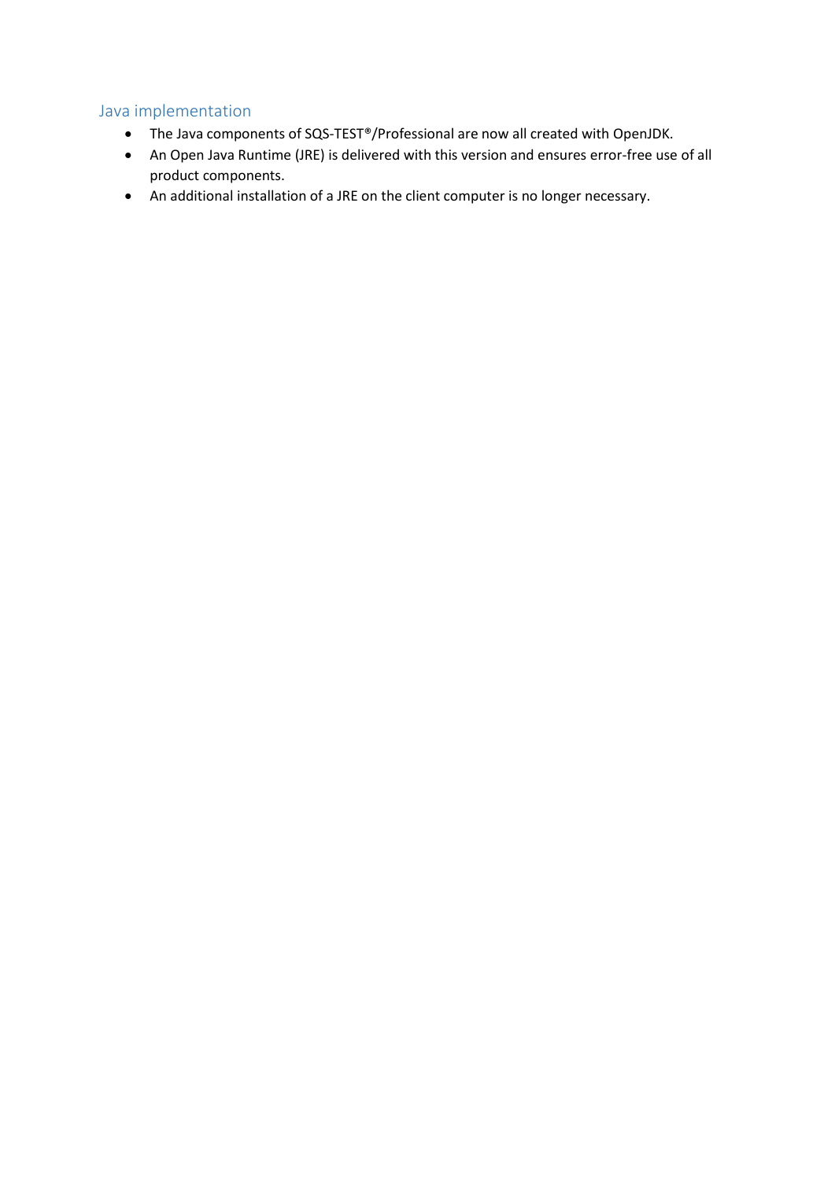## <span id="page-17-0"></span>Java implementation

- The Java components of SQS-TEST®/Professional are now all created with OpenJDK.
- An Open Java Runtime (JRE) is delivered with this version and ensures error-free use of all product components.
- An additional installation of a JRE on the client computer is no longer necessary.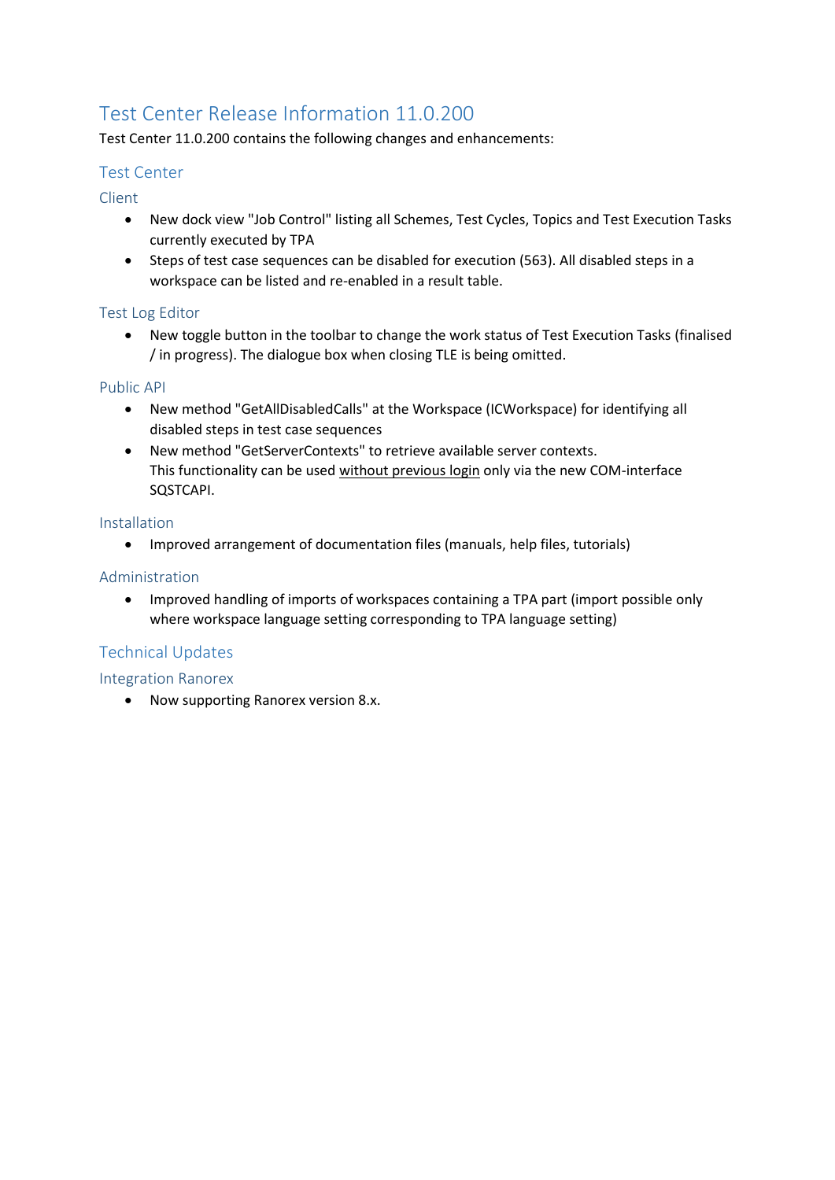<span id="page-18-0"></span>Test Center 11.0.200 contains the following changes and enhancements:

## <span id="page-18-1"></span>Test Center

## <span id="page-18-2"></span>Client

- New dock view "Job Control" listing all Schemes, Test Cycles, Topics and Test Execution Tasks currently executed by TPA
- Steps of test case sequences can be disabled for execution (563). All disabled steps in a workspace can be listed and re-enabled in a result table.

#### <span id="page-18-3"></span>Test Log Editor

• New toggle button in the toolbar to change the work status of Test Execution Tasks (finalised / in progress). The dialogue box when closing TLE is being omitted.

#### <span id="page-18-4"></span>Public API

- New method "GetAllDisabledCalls" at the Workspace (ICWorkspace) for identifying all disabled steps in test case sequences
- New method "GetServerContexts" to retrieve available server contexts. This functionality can be used without previous login only via the new COM-interface SQSTCAPI.

#### <span id="page-18-5"></span>Installation

• Improved arrangement of documentation files (manuals, help files, tutorials)

#### <span id="page-18-6"></span>Administration

• Improved handling of imports of workspaces containing a TPA part (import possible only where workspace language setting corresponding to TPA language setting)

## <span id="page-18-7"></span>Technical Updates

#### <span id="page-18-8"></span>Integration Ranorex

• Now supporting Ranorex version 8.x.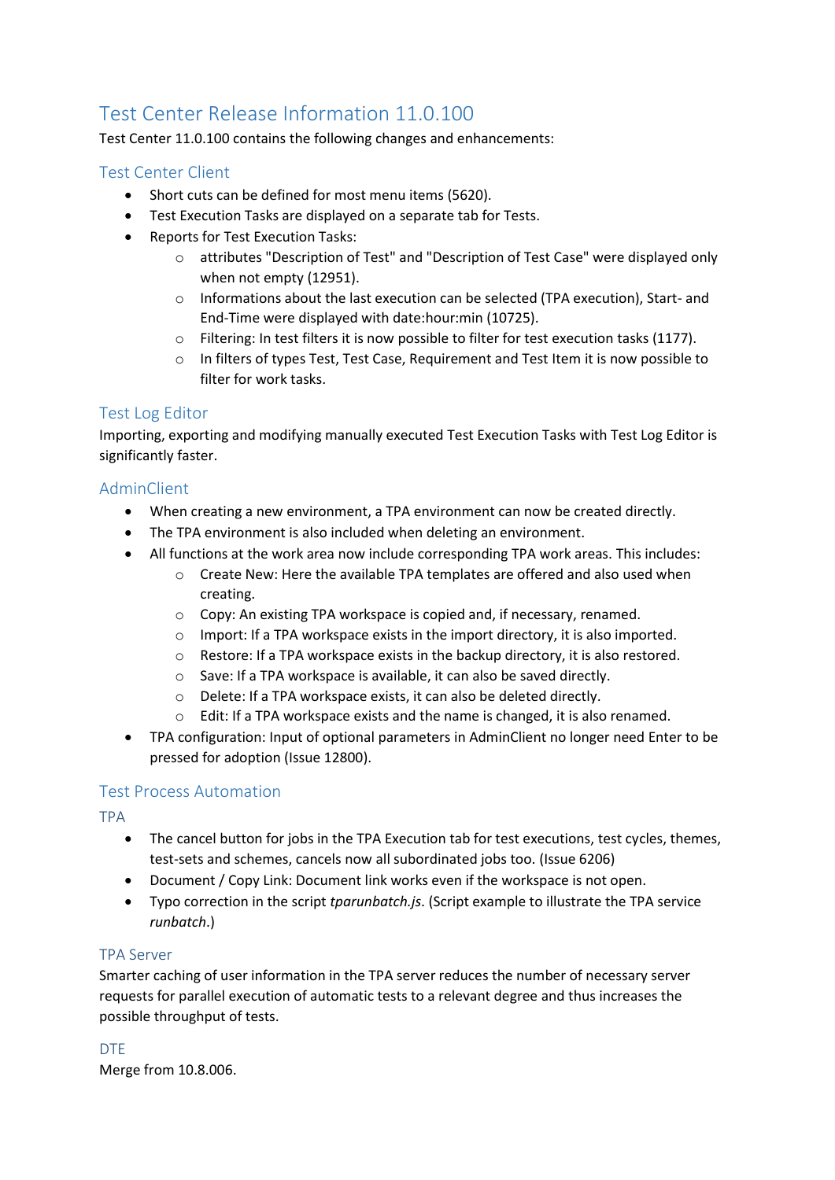<span id="page-19-0"></span>Test Center 11.0.100 contains the following changes and enhancements:

## <span id="page-19-1"></span>Test Center Client

- Short cuts can be defined for most menu items (5620).
- Test Execution Tasks are displayed on a separate tab for Tests.
- Reports for Test Execution Tasks:
	- o attributes "Description of Test" and "Description of Test Case" were displayed only when not empty (12951).
	- o Informations about the last execution can be selected (TPA execution), Start- and End-Time were displayed with date:hour:min (10725).
	- o Filtering: In test filters it is now possible to filter for test execution tasks (1177).
	- o In filters of types Test, Test Case, Requirement and Test Item it is now possible to filter for work tasks.

## <span id="page-19-2"></span>Test Log Editor

Importing, exporting and modifying manually executed Test Execution Tasks with Test Log Editor is significantly faster.

## <span id="page-19-3"></span>AdminClient

- When creating a new environment, a TPA environment can now be created directly.
- The TPA environment is also included when deleting an environment.
- All functions at the work area now include corresponding TPA work areas. This includes:
	- o Create New: Here the available TPA templates are offered and also used when creating.
	- o Copy: An existing TPA workspace is copied and, if necessary, renamed.
	- o Import: If a TPA workspace exists in the import directory, it is also imported.
	- o Restore: If a TPA workspace exists in the backup directory, it is also restored.
	- o Save: If a TPA workspace is available, it can also be saved directly.
	- o Delete: If a TPA workspace exists, it can also be deleted directly.
	- o Edit: If a TPA workspace exists and the name is changed, it is also renamed.
- TPA configuration: Input of optional parameters in AdminClient no longer need Enter to be pressed for adoption (Issue 12800).

## <span id="page-19-4"></span>Test Process Automation

<span id="page-19-5"></span>TPA

- The cancel button for jobs in the TPA Execution tab for test executions, test cycles, themes, test-sets and schemes, cancels now all subordinated jobs too. (Issue 6206)
- Document / Copy Link: Document link works even if the workspace is not open.
- Typo correction in the script *tparunbatch.js*. (Script example to illustrate the TPA service *runbatch*.)

## <span id="page-19-6"></span>TPA Server

Smarter caching of user information in the TPA server reduces the number of necessary server requests for parallel execution of automatic tests to a relevant degree and thus increases the possible throughput of tests.

## <span id="page-19-7"></span>DTE

Merge from 10.8.006.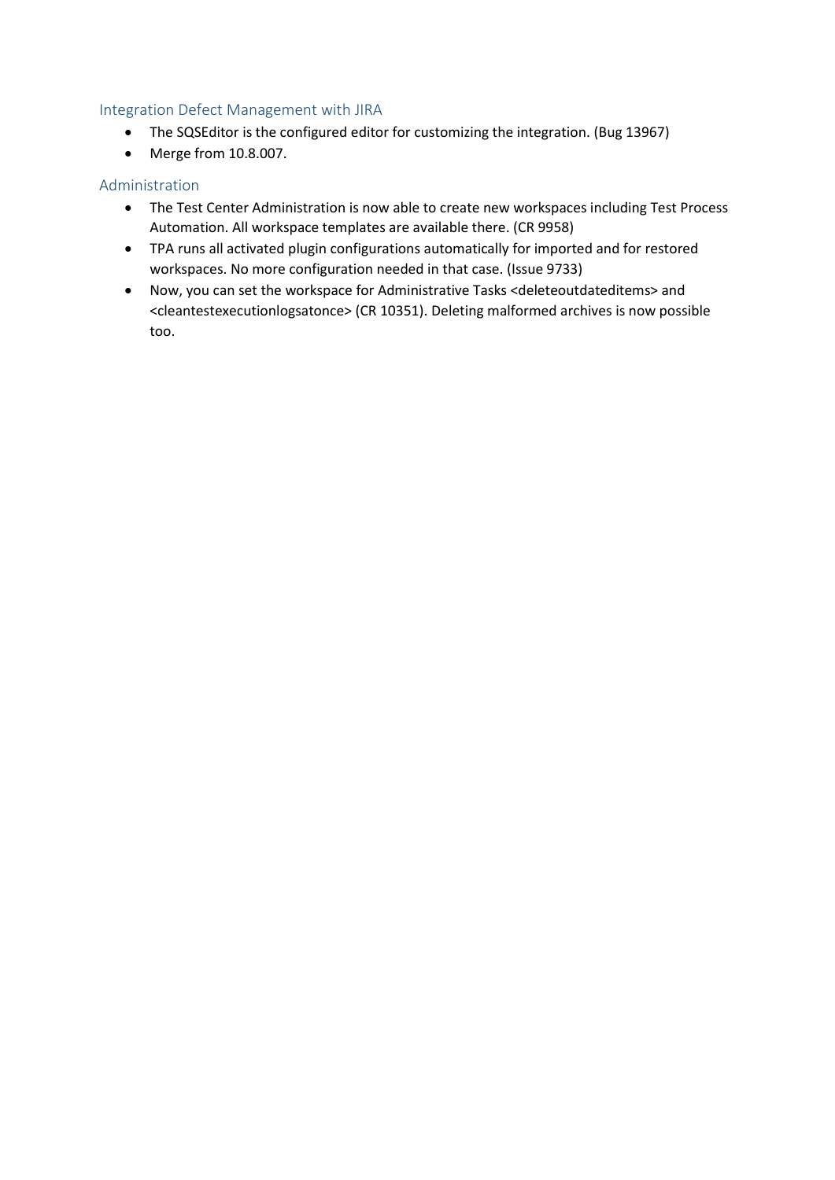## <span id="page-20-0"></span>Integration Defect Management with JIRA

- The SQSEditor is the configured editor for customizing the integration. (Bug 13967)
- Merge from 10.8.007.

## <span id="page-20-1"></span>Administration

- The Test Center Administration is now able to create new workspaces including Test Process Automation. All workspace templates are available there. (CR 9958)
- TPA runs all activated plugin configurations automatically for imported and for restored workspaces. No more configuration needed in that case. (Issue 9733)
- Now, you can set the workspace for Administrative Tasks <deleteoutdateditems> and <cleantestexecutionlogsatonce> (CR 10351). Deleting malformed archives is now possible too.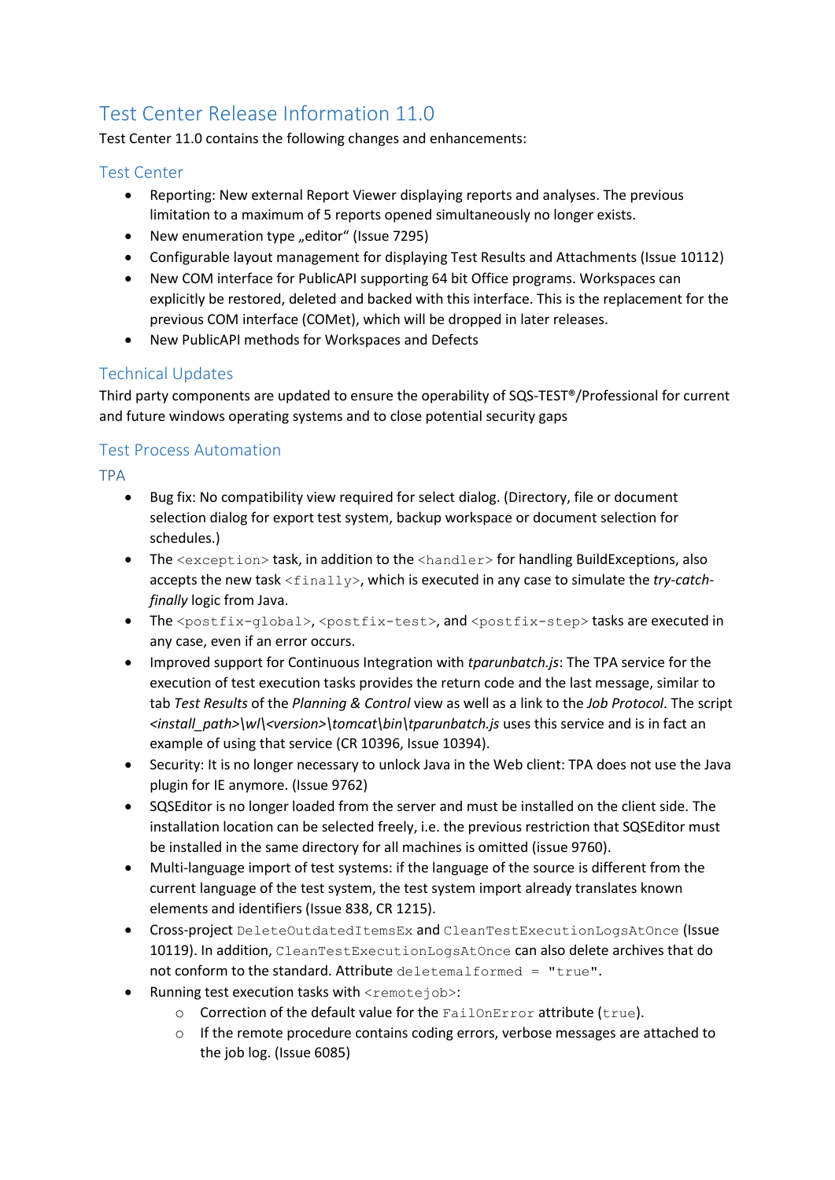<span id="page-21-0"></span>Test Center 11.0 contains the following changes and enhancements:

## <span id="page-21-1"></span>Test Center

- Reporting: New external Report Viewer displaying reports and analyses. The previous limitation to a maximum of 5 reports opened simultaneously no longer exists.
- New enumeration type "editor" (Issue 7295)
- Configurable layout management for displaying Test Results and Attachments (Issue 10112)
- New COM interface for PublicAPI supporting 64 bit Office programs. Workspaces can explicitly be restored, deleted and backed with this interface. This is the replacement for the previous COM interface (COMet), which will be dropped in later releases.
- New PublicAPI methods for Workspaces and Defects

## <span id="page-21-2"></span>Technical Updates

Third party components are updated to ensure the operability of SQS-TEST®/Professional for current and future windows operating systems and to close potential security gaps

## <span id="page-21-3"></span>Test Process Automation

<span id="page-21-4"></span>TPA

- Bug fix: No compatibility view required for select dialog. (Directory, file or document selection dialog for export test system, backup workspace or document selection for schedules.)
- The <exception> task, in addition to the <handler> for handling BuildExceptions, also accepts the new task <finally>, which is executed in any case to simulate the *try-catchfinally* logic from Java.
- The <postfix-global>, <postfix-test>, and <postfix-step> tasks are executed in any case, even if an error occurs.
- Improved support for Continuous Integration with *tparunbatch.js*: The TPA service for the execution of test execution tasks provides the return code and the last message, similar to tab *Test Results* of the *Planning & Control* view as well as a link to the *Job Protocol*. The script *<install\_path>\wl\<version>\tomcat\bin\tparunbatch.js* uses this service and is in fact an example of using that service (CR 10396, Issue 10394).
- Security: It is no longer necessary to unlock Java in the Web client: TPA does not use the Java plugin for IE anymore. (Issue 9762)
- SQSEditor is no longer loaded from the server and must be installed on the client side. The installation location can be selected freely, i.e. the previous restriction that SQSEditor must be installed in the same directory for all machines is omitted (issue 9760).
- Multi-language import of test systems: if the language of the source is different from the current language of the test system, the test system import already translates known elements and identifiers (Issue 838, CR 1215).
- Cross-project DeleteOutdatedItemsEx and CleanTestExecutionLogsAtOnce (Issue 10119). In addition, CleanTestExecutionLogsAtOnce can also delete archives that do not conform to the standard. Attribute deletemalformed = "true".
- Running test execution tasks with  $\le$ remotejob>:
	- o Correction of the default value for the FailOnError attribute (true).
	- $\circ$  If the remote procedure contains coding errors, verbose messages are attached to the job log. (Issue 6085)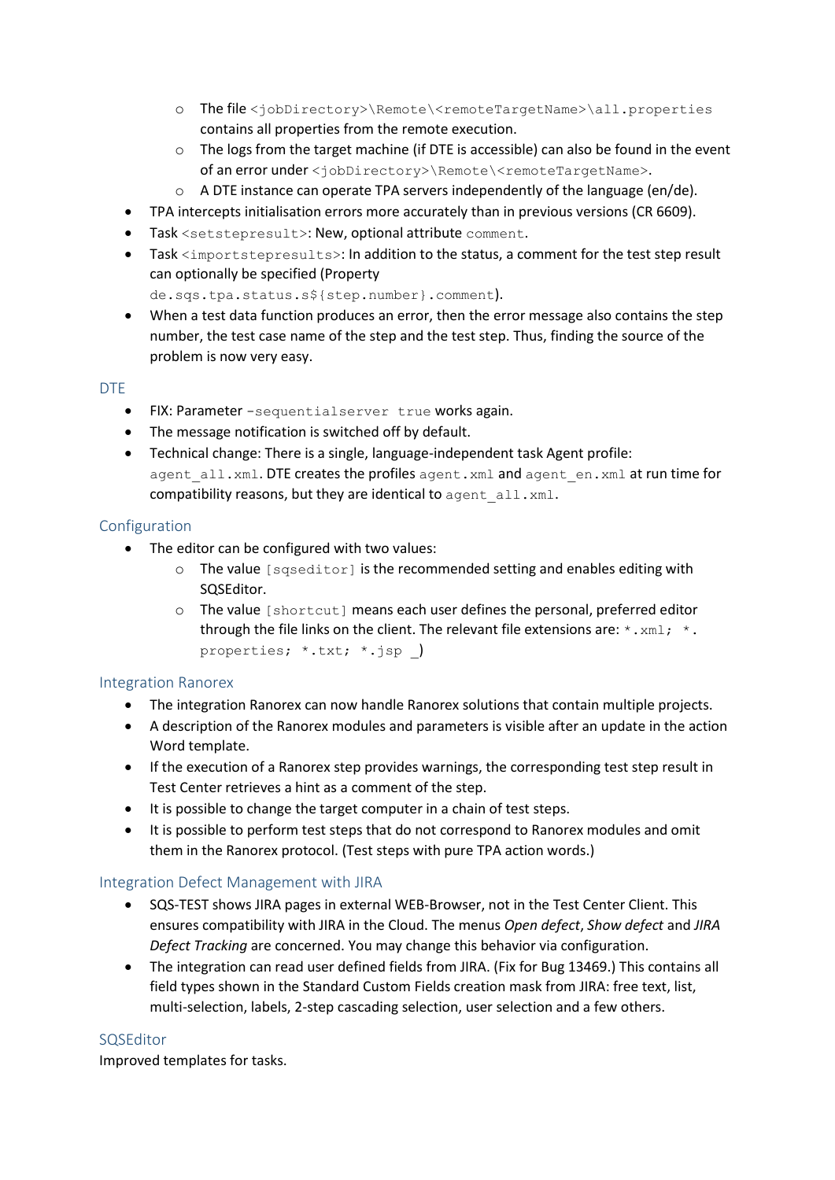- o The file <jobDirectory>\Remote\<remoteTargetName>\all.properties contains all properties from the remote execution.
- $\circ$  The logs from the target machine (if DTE is accessible) can also be found in the event of an error under <jobDirectory>\Remote\<remoteTargetName>.
- $\circ$  A DTE instance can operate TPA servers independently of the language (en/de).
- TPA intercepts initialisation errors more accurately than in previous versions (CR 6609).
- Task <setstepresult>: New, optional attribute comment.
- Task <importstepresults>: In addition to the status, a comment for the test step result can optionally be specified (Property
	- de.sqs.tpa.status.s\${step.number}.comment).
- When a test data function produces an error, then the error message also contains the step number, the test case name of the step and the test step. Thus, finding the source of the problem is now very easy.

## <span id="page-22-0"></span>DTE

- FIX: Parameter -sequentialserver true works again.
- The message notification is switched off by default.
- Technical change: There is a single, language-independent task Agent profile: agent all.xml. DTE creates the profiles agent.xml and agent en.xml at run time for compatibility reasons, but they are identical to  $a$  agent  $a11.xml$ .

## <span id="page-22-1"></span>Configuration

- The editor can be configured with two values:
	- $\circ$  The value [sqseditor] is the recommended setting and enables editing with SQSEditor.
	- o The value [shortcut] means each user defines the personal, preferred editor through the file links on the client. The relevant file extensions are:  $*$ .  $xml$ ;  $*$ . properties; \*.txt; \*.jsp )

## <span id="page-22-2"></span>Integration Ranorex

- The integration Ranorex can now handle Ranorex solutions that contain multiple projects.
- A description of the Ranorex modules and parameters is visible after an update in the action Word template.
- If the execution of a Ranorex step provides warnings, the corresponding test step result in Test Center retrieves a hint as a comment of the step.
- It is possible to change the target computer in a chain of test steps.
- It is possible to perform test steps that do not correspond to Ranorex modules and omit them in the Ranorex protocol. (Test steps with pure TPA action words.)

## <span id="page-22-3"></span>Integration Defect Management with JIRA

- SQS-TEST shows JIRA pages in external WEB-Browser, not in the Test Center Client. This ensures compatibility with JIRA in the Cloud. The menus *Open defect*, *Show defect* and *JIRA Defect Tracking* are concerned. You may change this behavior via configuration.
- The integration can read user defined fields from JIRA. (Fix for Bug 13469.) This contains all field types shown in the Standard Custom Fields creation mask from JIRA: free text, list, multi-selection, labels, 2-step cascading selection, user selection and a few others.

## <span id="page-22-4"></span>**SOSEditor**

Improved templates for tasks.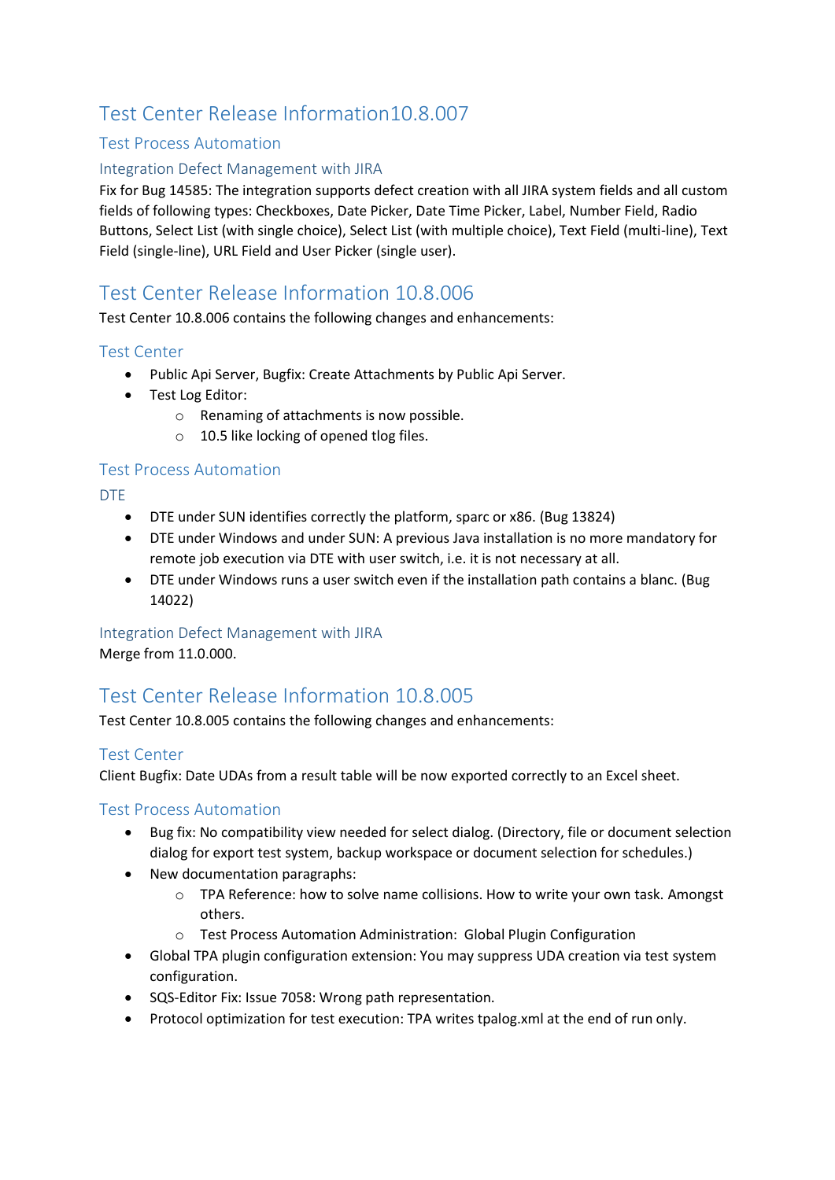## <span id="page-23-1"></span><span id="page-23-0"></span>Test Process Automation

## <span id="page-23-2"></span>Integration Defect Management with JIRA

Fix for Bug 14585: The integration supports defect creation with all JIRA system fields and all custom fields of following types: Checkboxes, Date Picker, Date Time Picker, Label, Number Field, Radio Buttons, Select List (with single choice), Select List (with multiple choice), Text Field (multi-line), Text Field (single-line), URL Field and User Picker (single user).

## <span id="page-23-3"></span>Test Center Release Information 10.8.006

Test Center 10.8.006 contains the following changes and enhancements:

## <span id="page-23-4"></span>Test Center

- Public Api Server, Bugfix: Create Attachments by Public Api Server.
- Test Log Editor:
	- o Renaming of attachments is now possible.
	- o 10.5 like locking of opened tlog files.

## <span id="page-23-5"></span>Test Process Automation

<span id="page-23-6"></span>DTE

- DTE under SUN identifies correctly the platform, sparc or x86. (Bug 13824)
- DTE under Windows and under SUN: A previous Java installation is no more mandatory for remote job execution via DTE with user switch, i.e. it is not necessary at all.
- DTE under Windows runs a user switch even if the installation path contains a blanc. (Bug 14022)

## <span id="page-23-7"></span>Integration Defect Management with JIRA

Merge from 11.0.000.

## <span id="page-23-8"></span>Test Center Release Information 10.8.005

Test Center 10.8.005 contains the following changes and enhancements:

## <span id="page-23-9"></span>Test Center

Client Bugfix: Date UDAs from a result table will be now exported correctly to an Excel sheet.

## <span id="page-23-10"></span>Test Process Automation

- Bug fix: No compatibility view needed for select dialog. (Directory, file or document selection dialog for export test system, backup workspace or document selection for schedules.)
- New documentation paragraphs:
	- o TPA Reference: how to solve name collisions. How to write your own task. Amongst others.
	- o Test Process Automation Administration: Global Plugin Configuration
- Global TPA plugin configuration extension: You may suppress UDA creation via test system configuration.
- SQS-Editor Fix: Issue 7058: Wrong path representation.
- Protocol optimization for test execution: TPA writes tpalog.xml at the end of run only.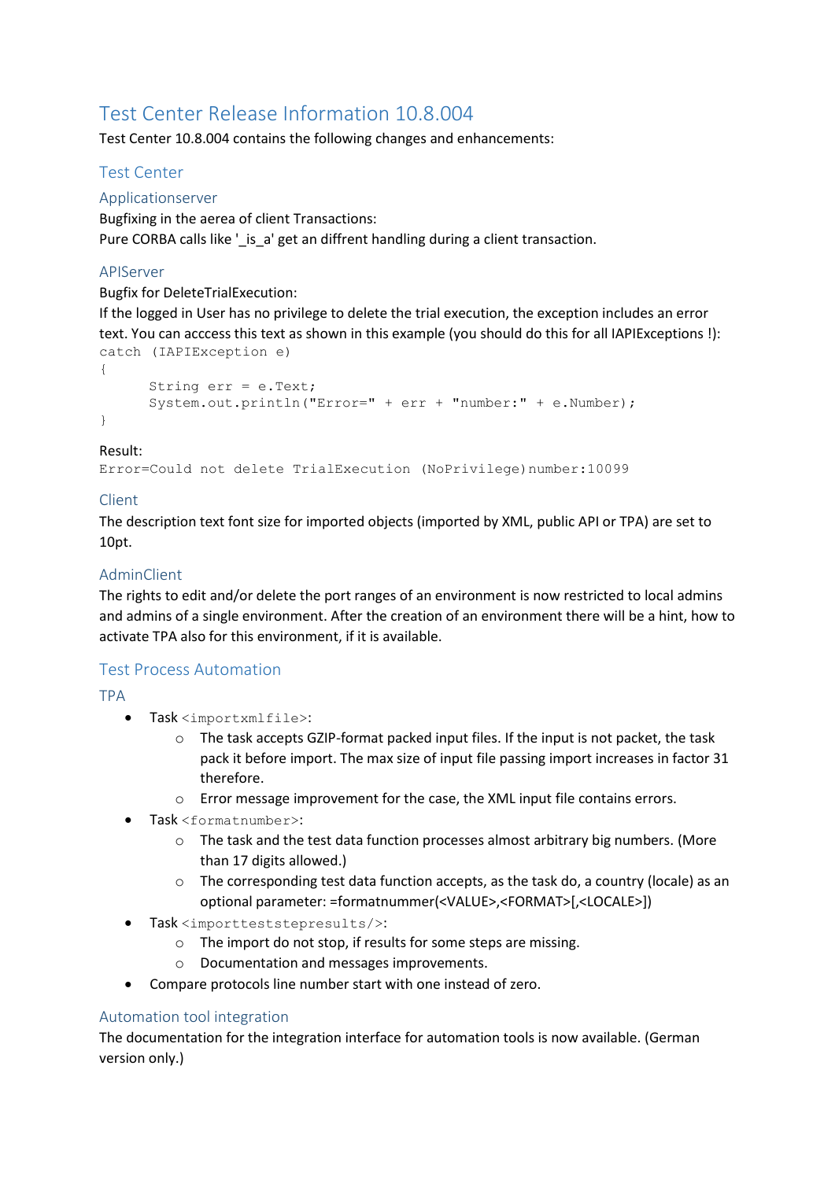<span id="page-24-0"></span>Test Center 10.8.004 contains the following changes and enhancements:

## <span id="page-24-1"></span>Test Center

#### <span id="page-24-2"></span>Applicationserver

Bugfixing in the aerea of client Transactions: Pure CORBA calls like '\_is\_a' get an diffrent handling during a client transaction.

#### <span id="page-24-3"></span>APIServer

#### Bugfix for DeleteTrialExecution:

If the logged in User has no privilege to delete the trial execution, the exception includes an error text. You can acccess this text as shown in this example (you should do this for all IAPIExceptions !): catch (IAPIException e)

```
{
```

```
String err = e.Text;
System.out.println("Error=" + err + "number:" + e.Number);
```
}

#### Result:

Error=Could not delete TrialExecution (NoPrivilege)number:10099

## <span id="page-24-4"></span>Client

The description text font size for imported objects (imported by XML, public API or TPA) are set to 10pt.

## <span id="page-24-5"></span>AdminClient

The rights to edit and/or delete the port ranges of an environment is now restricted to local admins and admins of a single environment. After the creation of an environment there will be a hint, how to activate TPA also for this environment, if it is available.

## <span id="page-24-6"></span>Test Process Automation

<span id="page-24-7"></span>TPA

- Task <importxmlfile>:
	- $\circ$  The task accepts GZIP-format packed input files. If the input is not packet, the task pack it before import. The max size of input file passing import increases in factor 31 therefore.
	- o Error message improvement for the case, the XML input file contains errors.
- Task <formatnumber>:
	- o The task and the test data function processes almost arbitrary big numbers. (More than 17 digits allowed.)
	- $\circ$  The corresponding test data function accepts, as the task do, a country (locale) as an optional parameter: =formatnummer(<VALUE>,<FORMAT>[,<LOCALE>])
- Task <importteststepresults/>:
	- o The import do not stop, if results for some steps are missing.
	- o Documentation and messages improvements.
- Compare protocols line number start with one instead of zero.

## <span id="page-24-8"></span>Automation tool integration

The documentation for the integration interface for automation tools is now available. (German version only.)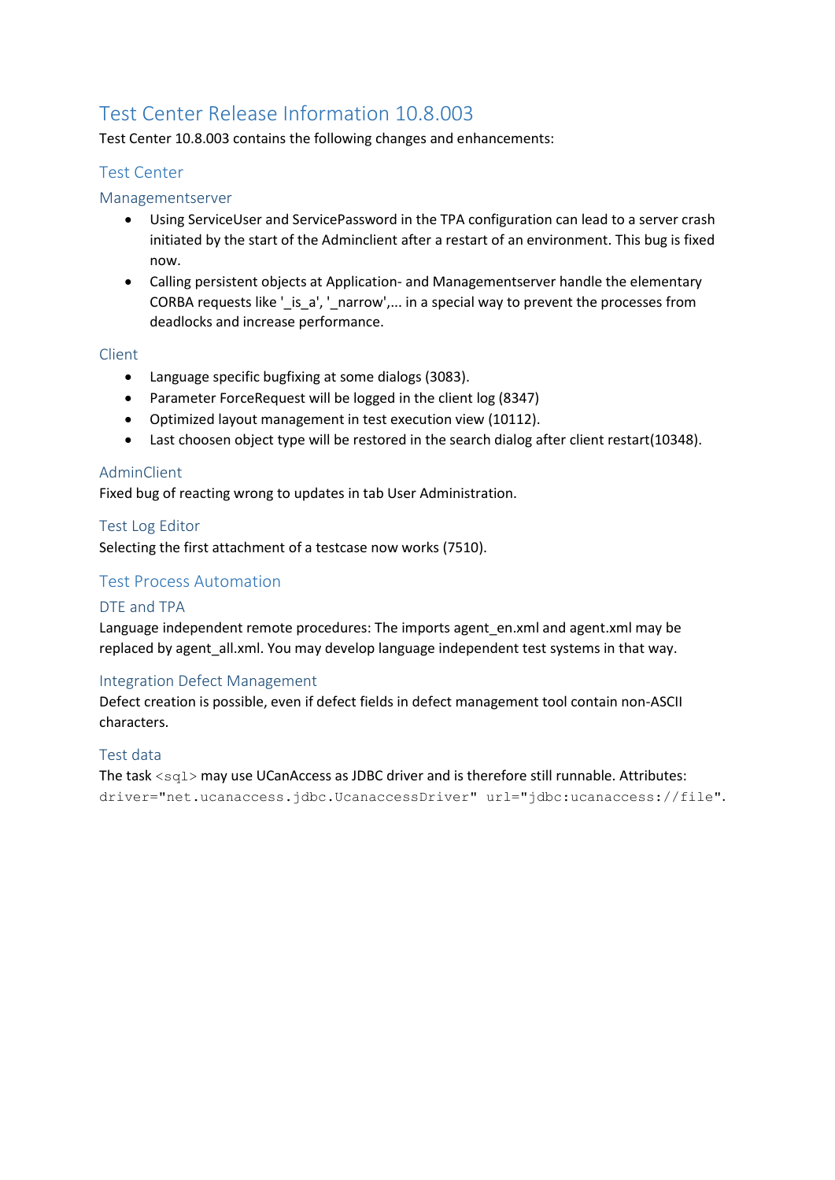<span id="page-25-0"></span>Test Center 10.8.003 contains the following changes and enhancements:

## <span id="page-25-1"></span>Test Center

#### <span id="page-25-2"></span>Managementserver

- Using ServiceUser and ServicePassword in the TPA configuration can lead to a server crash initiated by the start of the Adminclient after a restart of an environment. This bug is fixed now.
- Calling persistent objects at Application- and Managementserver handle the elementary CORBA requests like '\_is\_a', '\_narrow',... in a special way to prevent the processes from deadlocks and increase performance.

## <span id="page-25-3"></span>Client

- Language specific bugfixing at some dialogs (3083).
- Parameter ForceRequest will be logged in the client log (8347)
- Optimized layout management in test execution view (10112).
- Last choosen object type will be restored in the search dialog after client restart(10348).

#### <span id="page-25-4"></span>AdminClient

Fixed bug of reacting wrong to updates in tab User Administration.

#### <span id="page-25-5"></span>Test Log Editor

Selecting the first attachment of a testcase now works (7510).

## <span id="page-25-6"></span>Test Process Automation

## <span id="page-25-7"></span>DTE and TPA

Language independent remote procedures: The imports agent en.xml and agent.xml may be replaced by agent\_all.xml. You may develop language independent test systems in that way.

## <span id="page-25-8"></span>Integration Defect Management

Defect creation is possible, even if defect fields in defect management tool contain non-ASCII characters.

#### <span id="page-25-9"></span>Test data

The task  $\langle \text{sq} \rangle$  may use UCanAccess as JDBC driver and is therefore still runnable. Attributes: driver="net.ucanaccess.jdbc.UcanaccessDriver" url="jdbc:ucanaccess://file".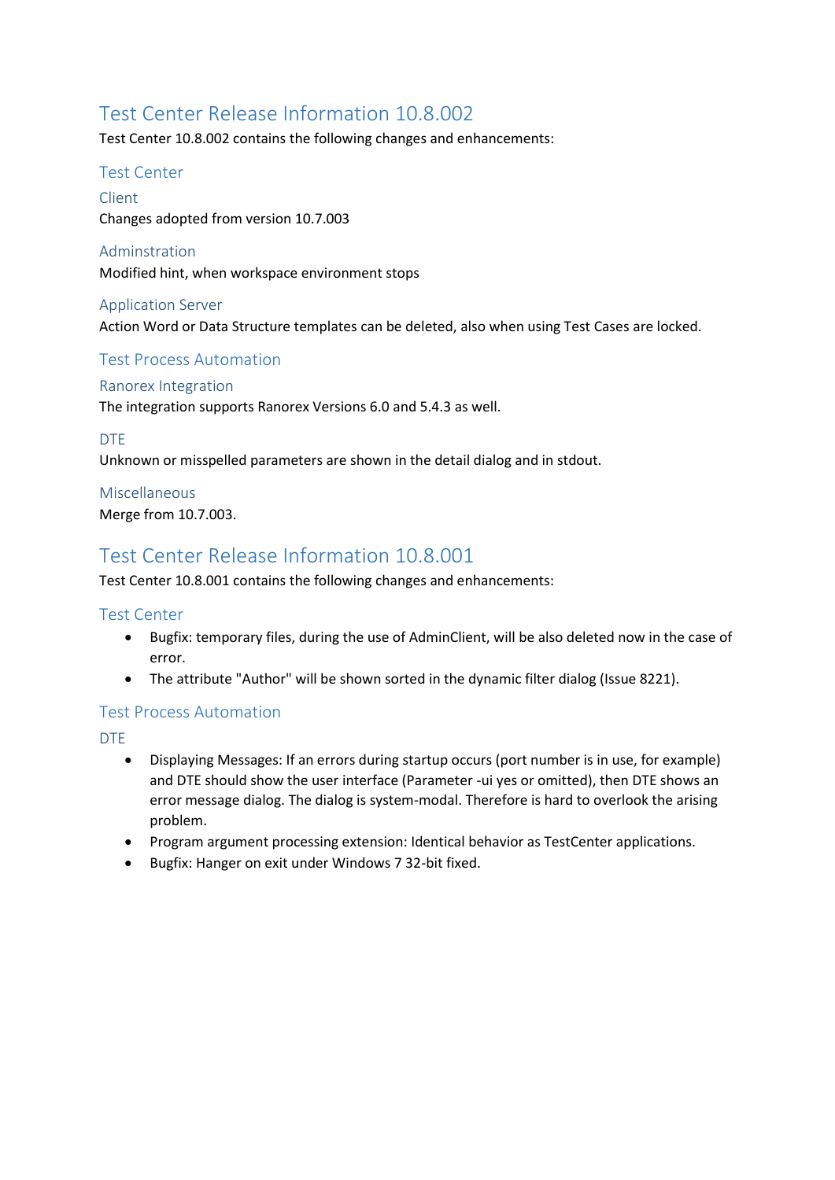<span id="page-26-0"></span>Test Center 10.8.002 contains the following changes and enhancements:

## <span id="page-26-1"></span>Test Center

<span id="page-26-2"></span>Client Changes adopted from version 10.7.003

<span id="page-26-3"></span>Adminstration Modified hint, when workspace environment stops

## <span id="page-26-4"></span>Application Server Action Word or Data Structure templates can be deleted, also when using Test Cases are locked.

## <span id="page-26-5"></span>Test Process Automation

## <span id="page-26-6"></span>Ranorex Integration

The integration supports Ranorex Versions 6.0 and 5.4.3 as well.

## <span id="page-26-7"></span>DTE

Unknown or misspelled parameters are shown in the detail dialog and in stdout.

## <span id="page-26-8"></span>Miscellaneous

Merge from 10.7.003.

## <span id="page-26-9"></span>Test Center Release Information 10.8.001

Test Center 10.8.001 contains the following changes and enhancements:

## <span id="page-26-10"></span>Test Center

- Bugfix: temporary files, during the use of AdminClient, will be also deleted now in the case of error.
- The attribute "Author" will be shown sorted in the dynamic filter dialog (Issue 8221).

## <span id="page-26-11"></span>Test Process Automation

<span id="page-26-12"></span>DTE

- Displaying Messages: If an errors during startup occurs (port number is in use, for example) and DTE should show the user interface (Parameter -ui yes or omitted), then DTE shows an error message dialog. The dialog is system-modal. Therefore is hard to overlook the arising problem.
- Program argument processing extension: Identical behavior as TestCenter applications.
- Bugfix: Hanger on exit under Windows 7 32-bit fixed.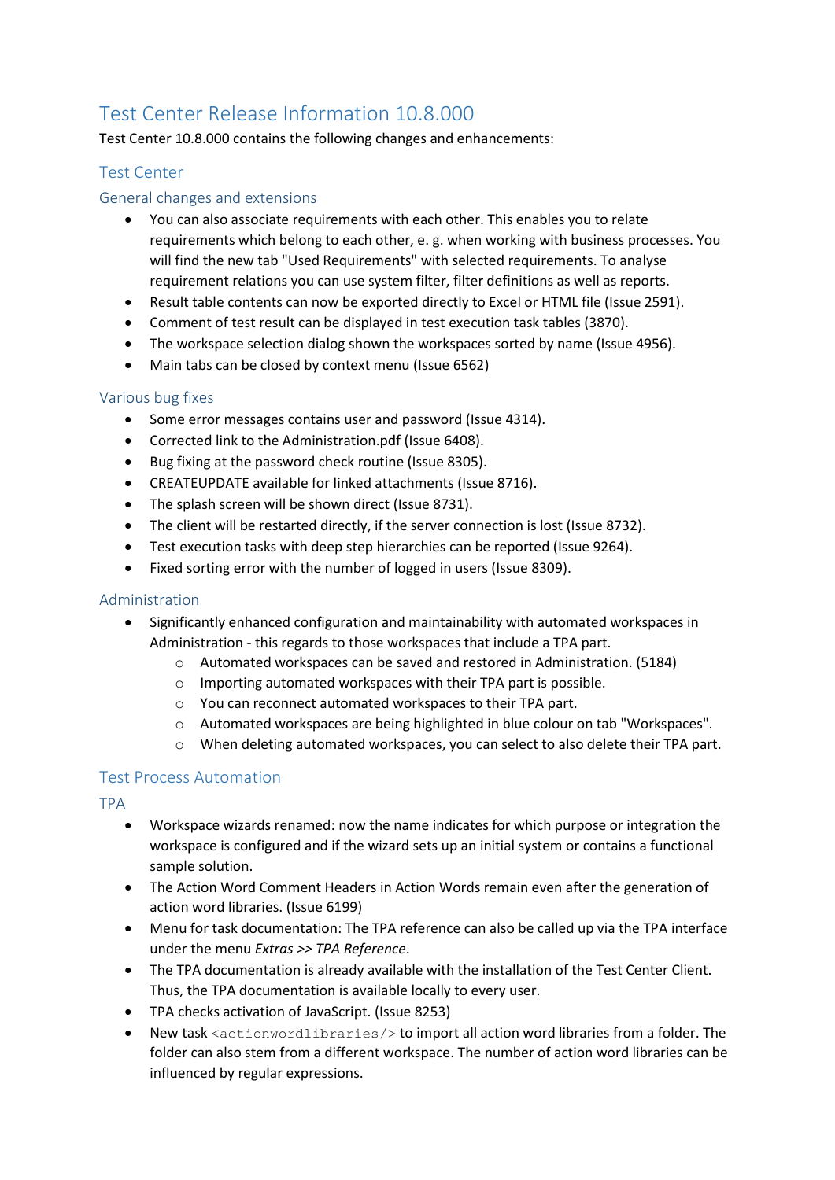<span id="page-27-0"></span>Test Center 10.8.000 contains the following changes and enhancements:

## <span id="page-27-1"></span>Test Center

#### <span id="page-27-2"></span>General changes and extensions

- You can also associate requirements with each other. This enables you to relate requirements which belong to each other, e. g. when working with business processes. You will find the new tab "Used Requirements" with selected requirements. To analyse requirement relations you can use system filter, filter definitions as well as reports.
- Result table contents can now be exported directly to Excel or HTML file (Issue 2591).
- Comment of test result can be displayed in test execution task tables (3870).
- The workspace selection dialog shown the workspaces sorted by name (Issue 4956).
- Main tabs can be closed by context menu (Issue 6562)

#### <span id="page-27-3"></span>Various bug fixes

- Some error messages contains user and password (Issue 4314).
- Corrected link to the Administration.pdf (Issue 6408).
- Bug fixing at the password check routine (Issue 8305).
- CREATEUPDATE available for linked attachments (Issue 8716).
- The splash screen will be shown direct (Issue 8731).
- The client will be restarted directly, if the server connection is lost (Issue 8732).
- Test execution tasks with deep step hierarchies can be reported (Issue 9264).
- Fixed sorting error with the number of logged in users (Issue 8309).

#### <span id="page-27-4"></span>Administration

- Significantly enhanced configuration and maintainability with automated workspaces in Administration - this regards to those workspaces that include a TPA part.
	- o Automated workspaces can be saved and restored in Administration. (5184)
	- o Importing automated workspaces with their TPA part is possible.
	- o You can reconnect automated workspaces to their TPA part.
	- o Automated workspaces are being highlighted in blue colour on tab "Workspaces".
	- o When deleting automated workspaces, you can select to also delete their TPA part.

## <span id="page-27-5"></span>Test Process Automation

<span id="page-27-6"></span>TPA

- Workspace wizards renamed: now the name indicates for which purpose or integration the workspace is configured and if the wizard sets up an initial system or contains a functional sample solution.
- The Action Word Comment Headers in Action Words remain even after the generation of action word libraries. (Issue 6199)
- Menu for task documentation: The TPA reference can also be called up via the TPA interface under the menu *Extras >> TPA Reference*.
- The TPA documentation is already available with the installation of the Test Center Client. Thus, the TPA documentation is available locally to every user.
- TPA checks activation of JavaScript. (Issue 8253)
- New task <actionwordlibraries/> to import all action word libraries from a folder. The folder can also stem from a different workspace. The number of action word libraries can be influenced by regular expressions.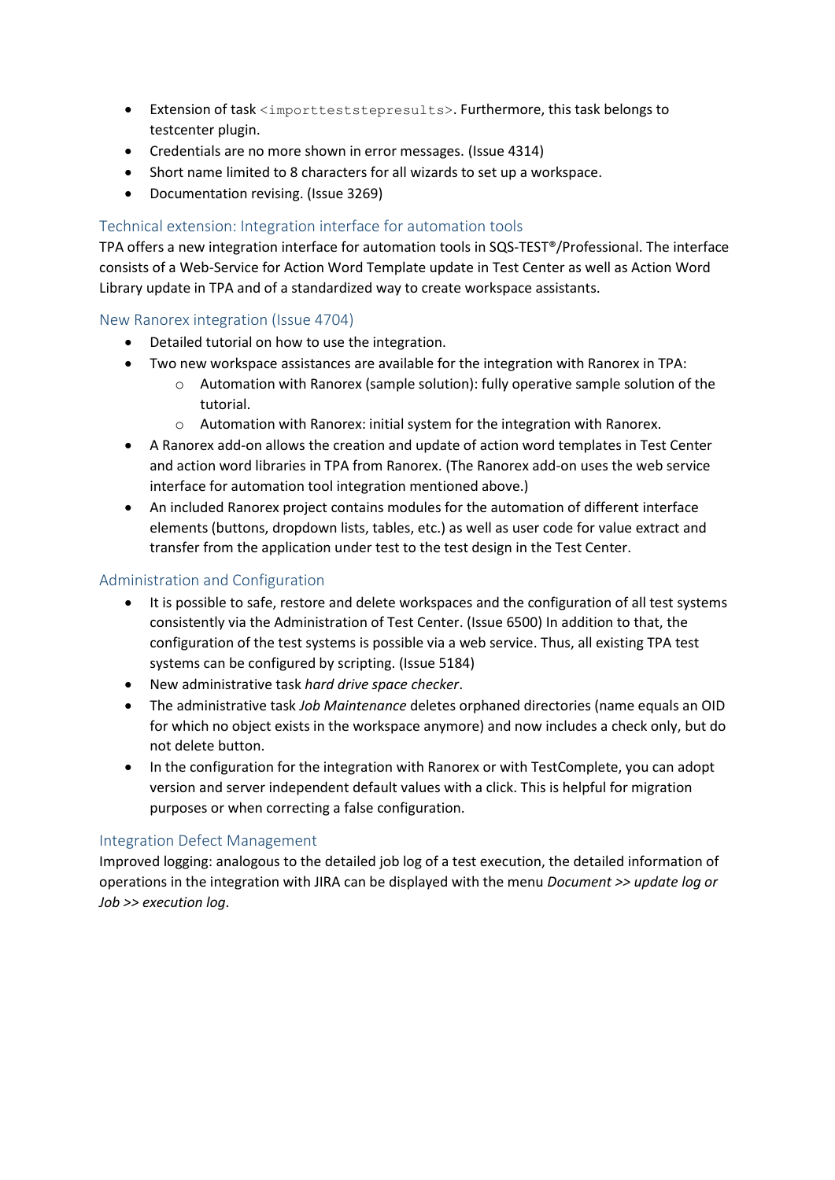- Extension of task <importteststepresults>. Furthermore, this task belongs to testcenter plugin.
- Credentials are no more shown in error messages. (Issue 4314)
- Short name limited to 8 characters for all wizards to set up a workspace.
- Documentation revising. (Issue 3269)

## <span id="page-28-0"></span>Technical extension: Integration interface for automation tools

TPA offers a new integration interface for automation tools in SQS-TEST®/Professional. The interface consists of a Web-Service for Action Word Template update in Test Center as well as Action Word Library update in TPA and of a standardized way to create workspace assistants.

## <span id="page-28-1"></span>New Ranorex integration (Issue 4704)

- Detailed tutorial on how to use the integration.
- Two new workspace assistances are available for the integration with Ranorex in TPA:
	- $\circ$  Automation with Ranorex (sample solution): fully operative sample solution of the tutorial.
	- o Automation with Ranorex: initial system for the integration with Ranorex.
- A Ranorex add-on allows the creation and update of action word templates in Test Center and action word libraries in TPA from Ranorex. (The Ranorex add-on uses the web service interface for automation tool integration mentioned above.)
- An included Ranorex project contains modules for the automation of different interface elements (buttons, dropdown lists, tables, etc.) as well as user code for value extract and transfer from the application under test to the test design in the Test Center.

## <span id="page-28-2"></span>Administration and Configuration

- It is possible to safe, restore and delete workspaces and the configuration of all test systems consistently via the Administration of Test Center. (Issue 6500) In addition to that, the configuration of the test systems is possible via a web service. Thus, all existing TPA test systems can be configured by scripting. (Issue 5184)
- New administrative task *hard drive space checker*.
- The administrative task *Job Maintenance* deletes orphaned directories (name equals an OID for which no object exists in the workspace anymore) and now includes a check only, but do not delete button.
- In the configuration for the integration with Ranorex or with TestComplete, you can adopt version and server independent default values with a click. This is helpful for migration purposes or when correcting a false configuration.

## <span id="page-28-3"></span>Integration Defect Management

Improved logging: analogous to the detailed job log of a test execution, the detailed information of operations in the integration with JIRA can be displayed with the menu *Document >> update log or Job >> execution log*.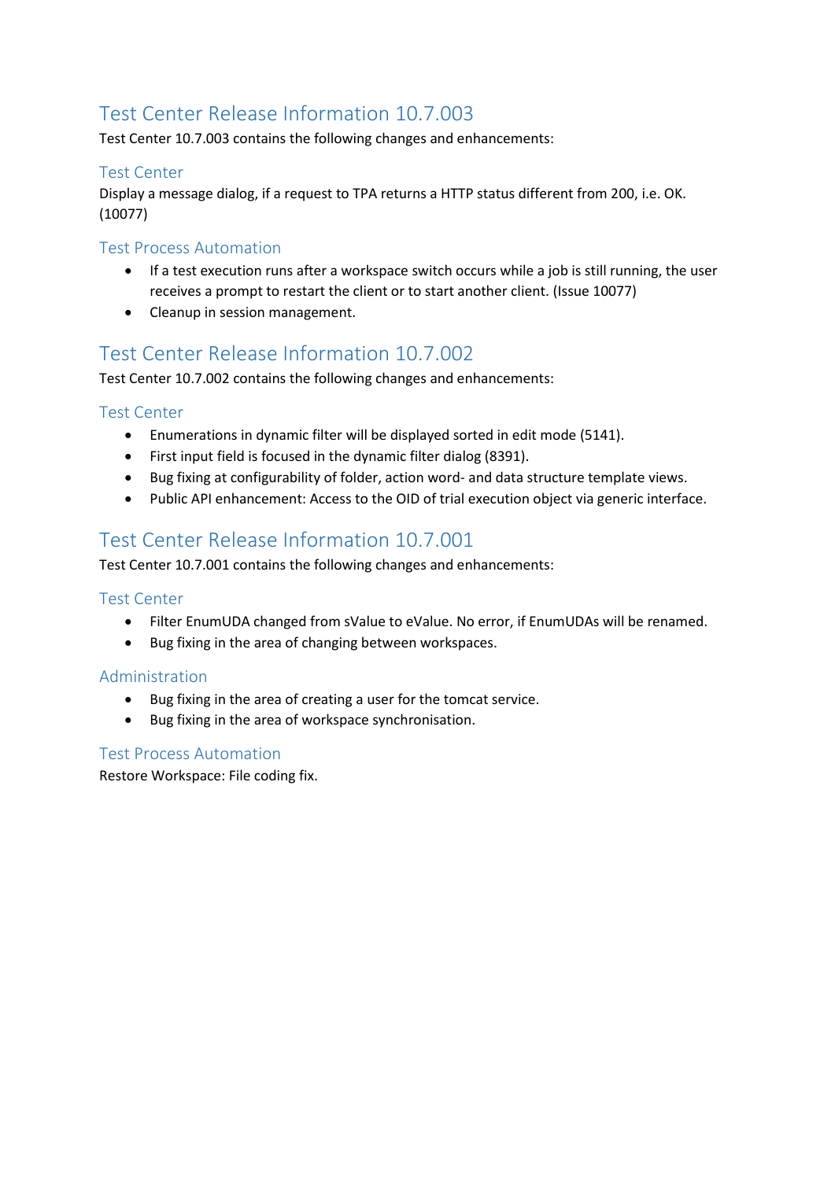<span id="page-29-0"></span>Test Center 10.7.003 contains the following changes and enhancements:

## <span id="page-29-1"></span>Test Center

Display a message dialog, if a request to TPA returns a HTTP status different from 200, i.e. OK. (10077)

## <span id="page-29-2"></span>Test Process Automation

- If a test execution runs after a workspace switch occurs while a job is still running, the user receives a prompt to restart the client or to start another client. (Issue 10077)
- Cleanup in session management.

## <span id="page-29-3"></span>Test Center Release Information 10.7.002

Test Center 10.7.002 contains the following changes and enhancements:

## <span id="page-29-4"></span>Test Center

- Enumerations in dynamic filter will be displayed sorted in edit mode (5141).
- First input field is focused in the dynamic filter dialog (8391).
- Bug fixing at configurability of folder, action word- and data structure template views.
- Public API enhancement: Access to the OID of trial execution object via generic interface.

## <span id="page-29-5"></span>Test Center Release Information 10.7.001

Test Center 10.7.001 contains the following changes and enhancements:

#### <span id="page-29-6"></span>Test Center

- Filter EnumUDA changed from sValue to eValue. No error, if EnumUDAs will be renamed.
- Bug fixing in the area of changing between workspaces.

## <span id="page-29-7"></span>Administration

- Bug fixing in the area of creating a user for the tomcat service.
- Bug fixing in the area of workspace synchronisation.

## <span id="page-29-8"></span>Test Process Automation

Restore Workspace: File coding fix.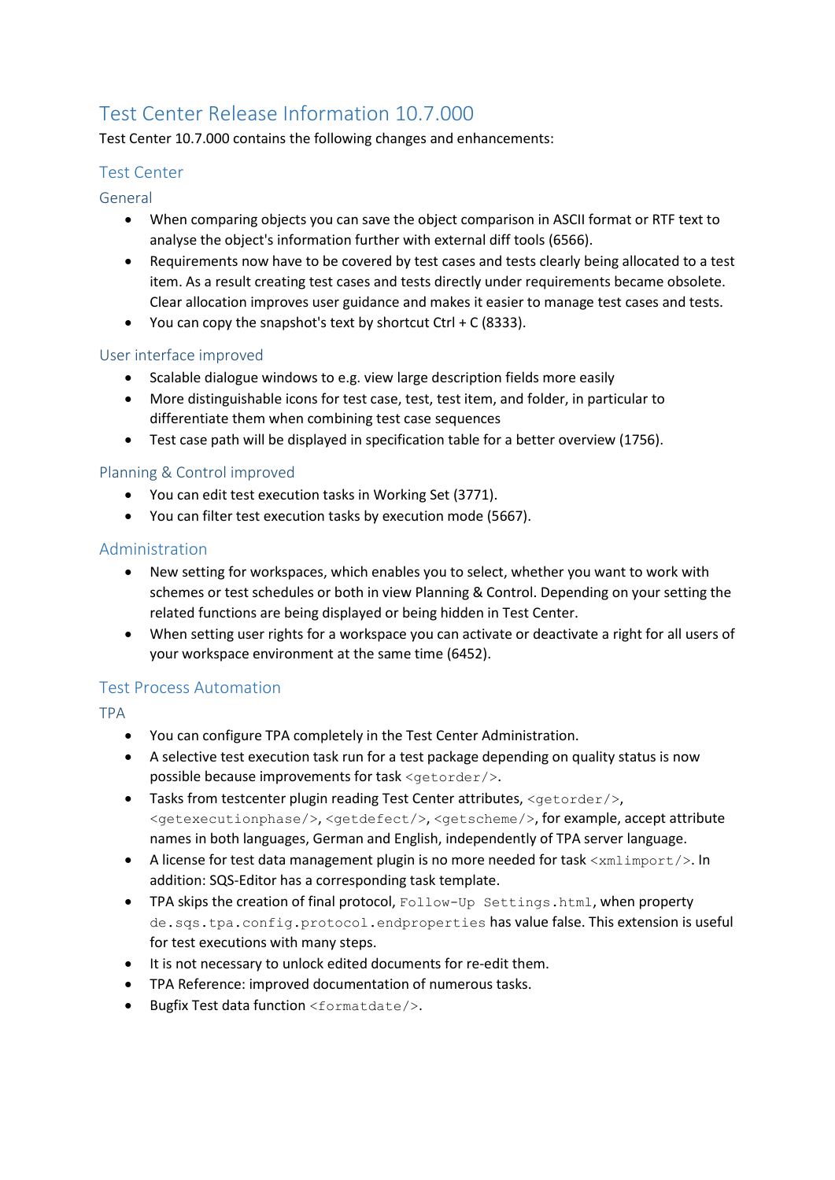<span id="page-30-0"></span>Test Center 10.7.000 contains the following changes and enhancements:

## <span id="page-30-1"></span>Test Center

<span id="page-30-2"></span>General

- When comparing objects you can save the object comparison in ASCII format or RTF text to analyse the object's information further with external diff tools (6566).
- Requirements now have to be covered by test cases and tests clearly being allocated to a test item. As a result creating test cases and tests directly under requirements became obsolete. Clear allocation improves user guidance and makes it easier to manage test cases and tests.
- You can copy the snapshot's text by shortcut Ctrl + C (8333).

## <span id="page-30-3"></span>User interface improved

- Scalable dialogue windows to e.g. view large description fields more easily
- More distinguishable icons for test case, test, test item, and folder, in particular to differentiate them when combining test case sequences
- Test case path will be displayed in specification table for a better overview (1756).

## <span id="page-30-4"></span>Planning & Control improved

- You can edit test execution tasks in Working Set (3771).
- You can filter test execution tasks by execution mode (5667).

## <span id="page-30-5"></span>Administration

- New setting for workspaces, which enables you to select, whether you want to work with schemes or test schedules or both in view Planning & Control. Depending on your setting the related functions are being displayed or being hidden in Test Center.
- When setting user rights for a workspace you can activate or deactivate a right for all users of your workspace environment at the same time (6452).

## <span id="page-30-6"></span>Test Process Automation

<span id="page-30-7"></span>TPA

- You can configure TPA completely in the Test Center Administration.
- A selective test execution task run for a test package depending on quality status is now possible because improvements for task <getorder/>.
- Tasks from testcenter plugin reading Test Center attributes,  $\langle$ qetorder/>, <getexecutionphase/>, <getdefect/>, <getscheme/>, for example, accept attribute names in both languages, German and English, independently of TPA server language.
- A license for test data management plugin is no more needed for task  $\langle x_m \rangle$  import  $\langle x_m \rangle$ . In addition: SQS-Editor has a corresponding task template.
- TPA skips the creation of final protocol, Follow-Up Settings.html, when property de.sqs.tpa.config.protocol.endproperties has value false. This extension is useful for test executions with many steps.
- It is not necessary to unlock edited documents for re-edit them.
- TPA Reference: improved documentation of numerous tasks.
- Bugfix Test data function <formatdate/>.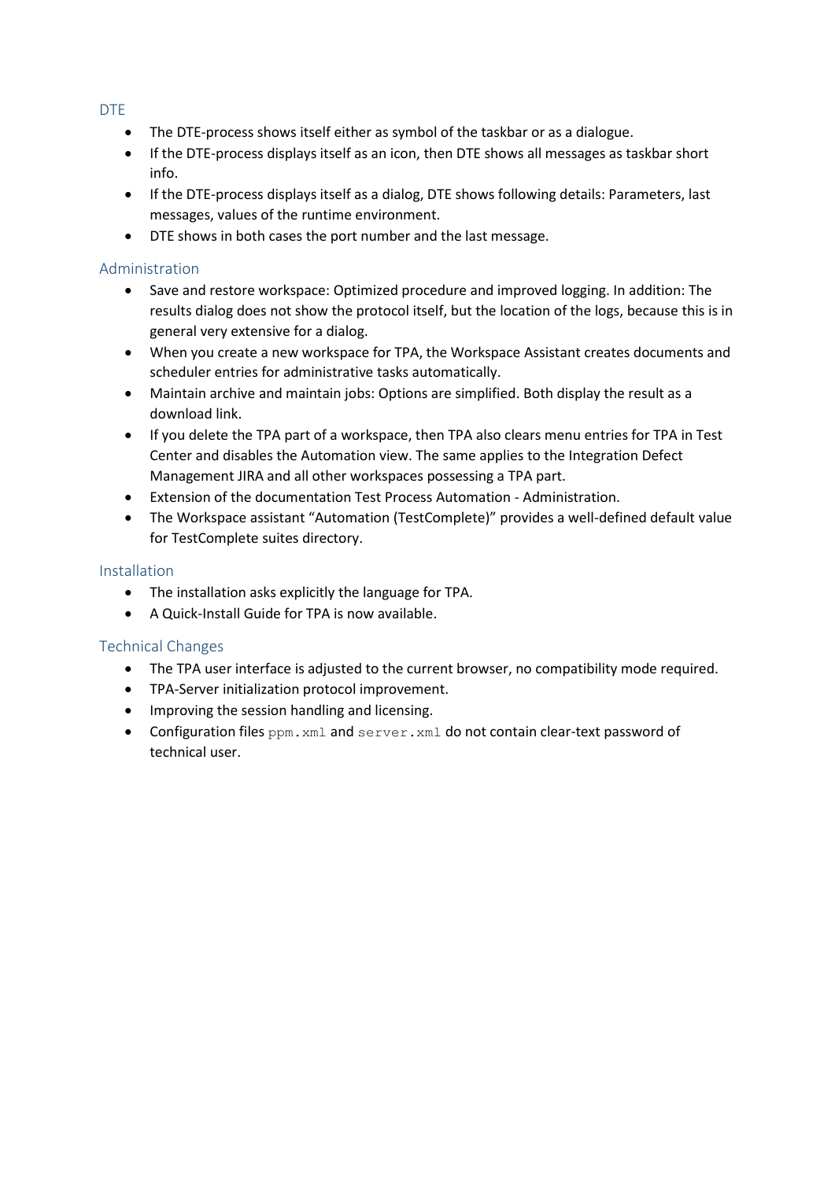<span id="page-31-0"></span>DTE

- The DTE-process shows itself either as symbol of the taskbar or as a dialogue.
- If the DTE-process displays itself as an icon, then DTE shows all messages as taskbar short info.
- If the DTE-process displays itself as a dialog, DTE shows following details: Parameters, last messages, values of the runtime environment.
- DTE shows in both cases the port number and the last message.

## <span id="page-31-1"></span>Administration

- Save and restore workspace: Optimized procedure and improved logging. In addition: The results dialog does not show the protocol itself, but the location of the logs, because this is in general very extensive for a dialog.
- When you create a new workspace for TPA, the Workspace Assistant creates documents and scheduler entries for administrative tasks automatically.
- Maintain archive and maintain jobs: Options are simplified. Both display the result as a download link.
- If you delete the TPA part of a workspace, then TPA also clears menu entries for TPA in Test Center and disables the Automation view. The same applies to the Integration Defect Management JIRA and all other workspaces possessing a TPA part.
- Extension of the documentation Test Process Automation Administration.
- The Workspace assistant "Automation (TestComplete)" provides a well-defined default value for TestComplete suites directory.

## <span id="page-31-2"></span>Installation

- The installation asks explicitly the language for TPA.
- A Quick-Install Guide for TPA is now available.

## <span id="page-31-3"></span>Technical Changes

- The TPA user interface is adjusted to the current browser, no compatibility mode required.
- TPA-Server initialization protocol improvement.
- Improving the session handling and licensing.
- Configuration files  $ppm x$ ml and  $s = r$  and do not contain clear-text password of technical user.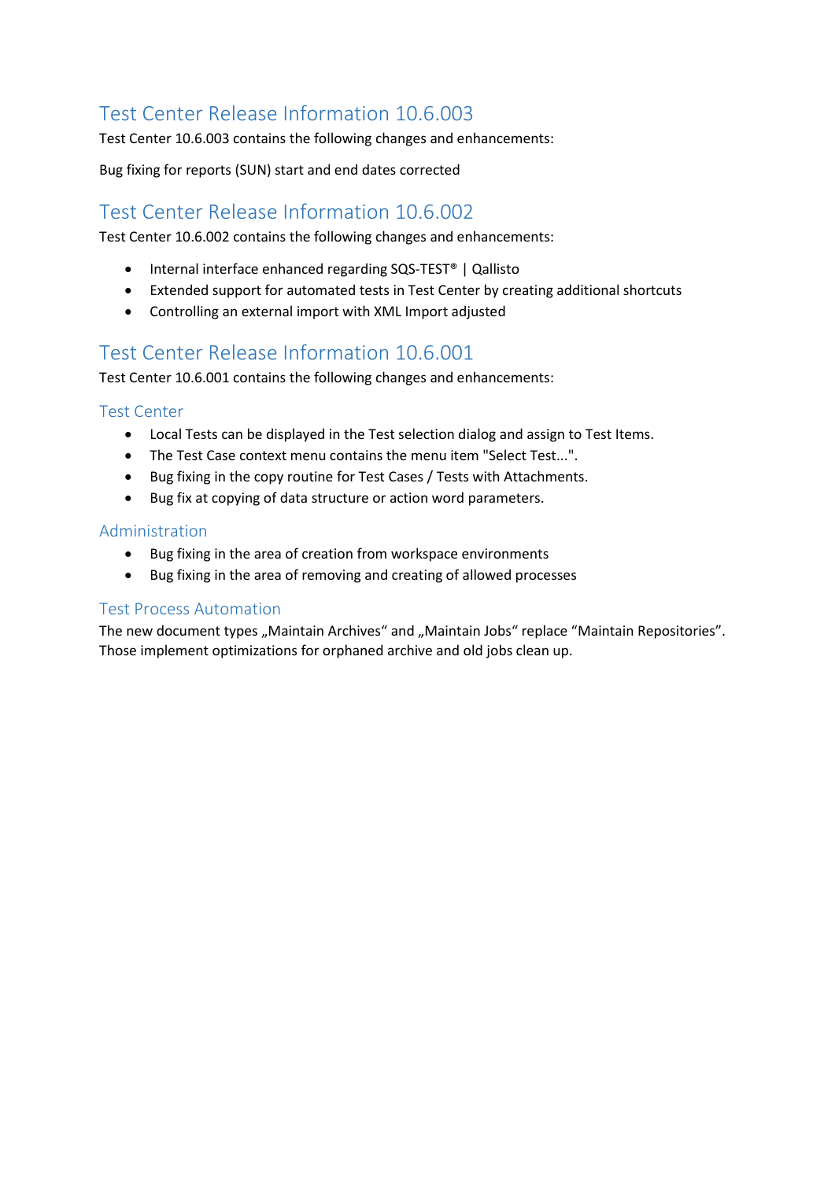<span id="page-32-0"></span>Test Center 10.6.003 contains the following changes and enhancements:

Bug fixing for reports (SUN) start and end dates corrected

## <span id="page-32-1"></span>Test Center Release Information 10.6.002

Test Center 10.6.002 contains the following changes and enhancements:

- Internal interface enhanced regarding SQS-TEST® | Qallisto
- Extended support for automated tests in Test Center by creating additional shortcuts
- Controlling an external import with XML Import adjusted

## <span id="page-32-2"></span>Test Center Release Information 10.6.001

Test Center 10.6.001 contains the following changes and enhancements:

#### <span id="page-32-3"></span>Test Center

- Local Tests can be displayed in the Test selection dialog and assign to Test Items.
- The Test Case context menu contains the menu item "Select Test...".
- Bug fixing in the copy routine for Test Cases / Tests with Attachments.
- Bug fix at copying of data structure or action word parameters.

## <span id="page-32-4"></span>Administration

- Bug fixing in the area of creation from workspace environments
- Bug fixing in the area of removing and creating of allowed processes

## <span id="page-32-5"></span>Test Process Automation

The new document types "Maintain Archives" and "Maintain Jobs" replace "Maintain Repositories". Those implement optimizations for orphaned archive and old jobs clean up.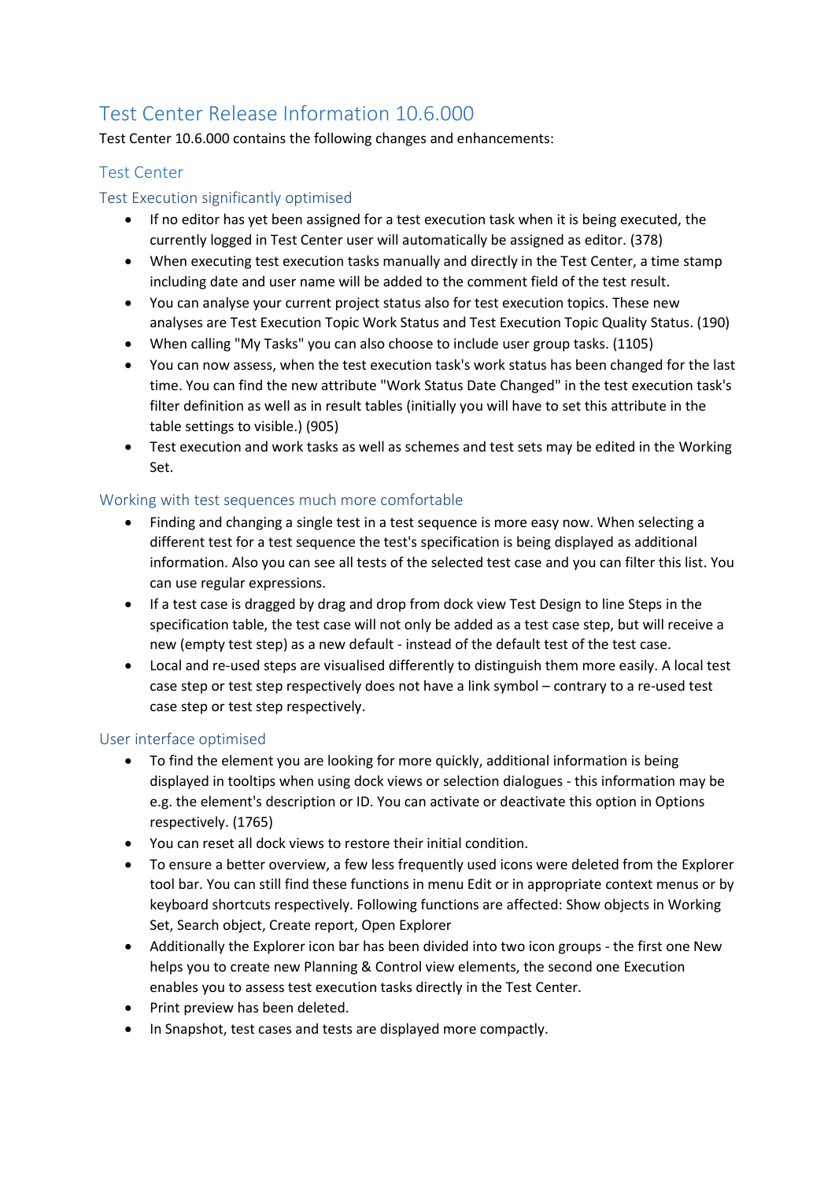<span id="page-33-0"></span>Test Center 10.6.000 contains the following changes and enhancements:

## <span id="page-33-1"></span>Test Center

## <span id="page-33-2"></span>Test Execution significantly optimised

- If no editor has yet been assigned for a test execution task when it is being executed, the currently logged in Test Center user will automatically be assigned as editor. (378)
- When executing test execution tasks manually and directly in the Test Center, a time stamp including date and user name will be added to the comment field of the test result.
- You can analyse your current project status also for test execution topics. These new analyses are Test Execution Topic Work Status and Test Execution Topic Quality Status. (190)
- When calling "My Tasks" you can also choose to include user group tasks. (1105)
- You can now assess, when the test execution task's work status has been changed for the last time. You can find the new attribute "Work Status Date Changed" in the test execution task's filter definition as well as in result tables (initially you will have to set this attribute in the table settings to visible.) (905)
- Test execution and work tasks as well as schemes and test sets may be edited in the Working Set.

## <span id="page-33-3"></span>Working with test sequences much more comfortable

- Finding and changing a single test in a test sequence is more easy now. When selecting a different test for a test sequence the test's specification is being displayed as additional information. Also you can see all tests of the selected test case and you can filter this list. You can use regular expressions.
- If a test case is dragged by drag and drop from dock view Test Design to line Steps in the specification table, the test case will not only be added as a test case step, but will receive a new (empty test step) as a new default - instead of the default test of the test case.
- Local and re-used steps are visualised differently to distinguish them more easily. A local test case step or test step respectively does not have a link symbol – contrary to a re-used test case step or test step respectively.

## <span id="page-33-4"></span>User interface optimised

- To find the element you are looking for more quickly, additional information is being displayed in tooltips when using dock views or selection dialogues - this information may be e.g. the element's description or ID. You can activate or deactivate this option in Options respectively. (1765)
- You can reset all dock views to restore their initial condition.
- To ensure a better overview, a few less frequently used icons were deleted from the Explorer tool bar. You can still find these functions in menu Edit or in appropriate context menus or by keyboard shortcuts respectively. Following functions are affected: Show objects in Working Set, Search object, Create report, Open Explorer
- Additionally the Explorer icon bar has been divided into two icon groups the first one New helps you to create new Planning & Control view elements, the second one Execution enables you to assess test execution tasks directly in the Test Center.
- Print preview has been deleted.
- In Snapshot, test cases and tests are displayed more compactly.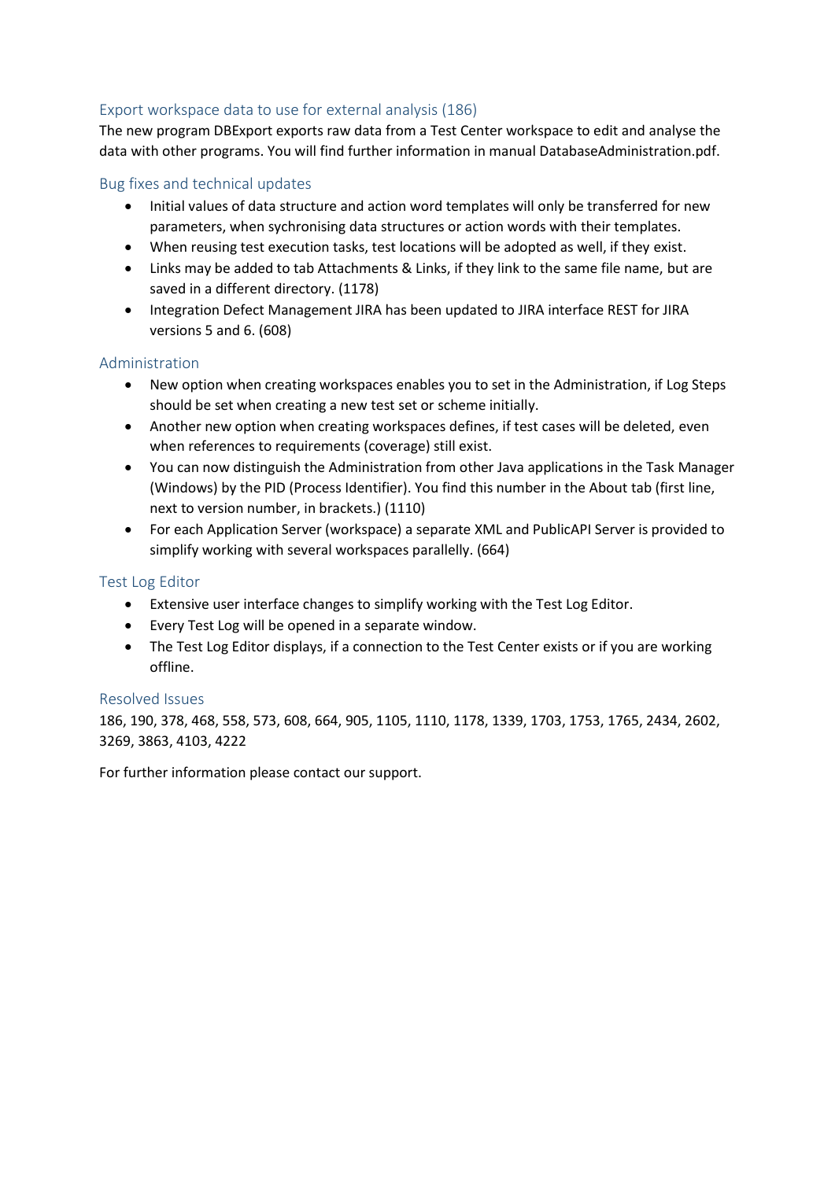## <span id="page-34-0"></span>Export workspace data to use for external analysis (186)

The new program DBExport exports raw data from a Test Center workspace to edit and analyse the data with other programs. You will find further information in manual DatabaseAdministration.pdf.

## <span id="page-34-1"></span>Bug fixes and technical updates

- Initial values of data structure and action word templates will only be transferred for new parameters, when sychronising data structures or action words with their templates.
- When reusing test execution tasks, test locations will be adopted as well, if they exist.
- Links may be added to tab Attachments & Links, if they link to the same file name, but are saved in a different directory. (1178)
- Integration Defect Management JIRA has been updated to JIRA interface REST for JIRA versions 5 and 6. (608)

## <span id="page-34-2"></span>Administration

- New option when creating workspaces enables you to set in the Administration, if Log Steps should be set when creating a new test set or scheme initially.
- Another new option when creating workspaces defines, if test cases will be deleted, even when references to requirements (coverage) still exist.
- You can now distinguish the Administration from other Java applications in the Task Manager (Windows) by the PID (Process Identifier). You find this number in the About tab (first line, next to version number, in brackets.) (1110)
- For each Application Server (workspace) a separate XML and PublicAPI Server is provided to simplify working with several workspaces parallelly. (664)

## <span id="page-34-3"></span>Test Log Editor

- Extensive user interface changes to simplify working with the Test Log Editor.
- Every Test Log will be opened in a separate window.
- The Test Log Editor displays, if a connection to the Test Center exists or if you are working offline.

## <span id="page-34-4"></span>Resolved Issues

186, 190, 378, 468, 558, 573, 608, 664, 905, 1105, 1110, 1178, 1339, 1703, 1753, 1765, 2434, 2602, 3269, 3863, 4103, 4222

For further information please contact our support.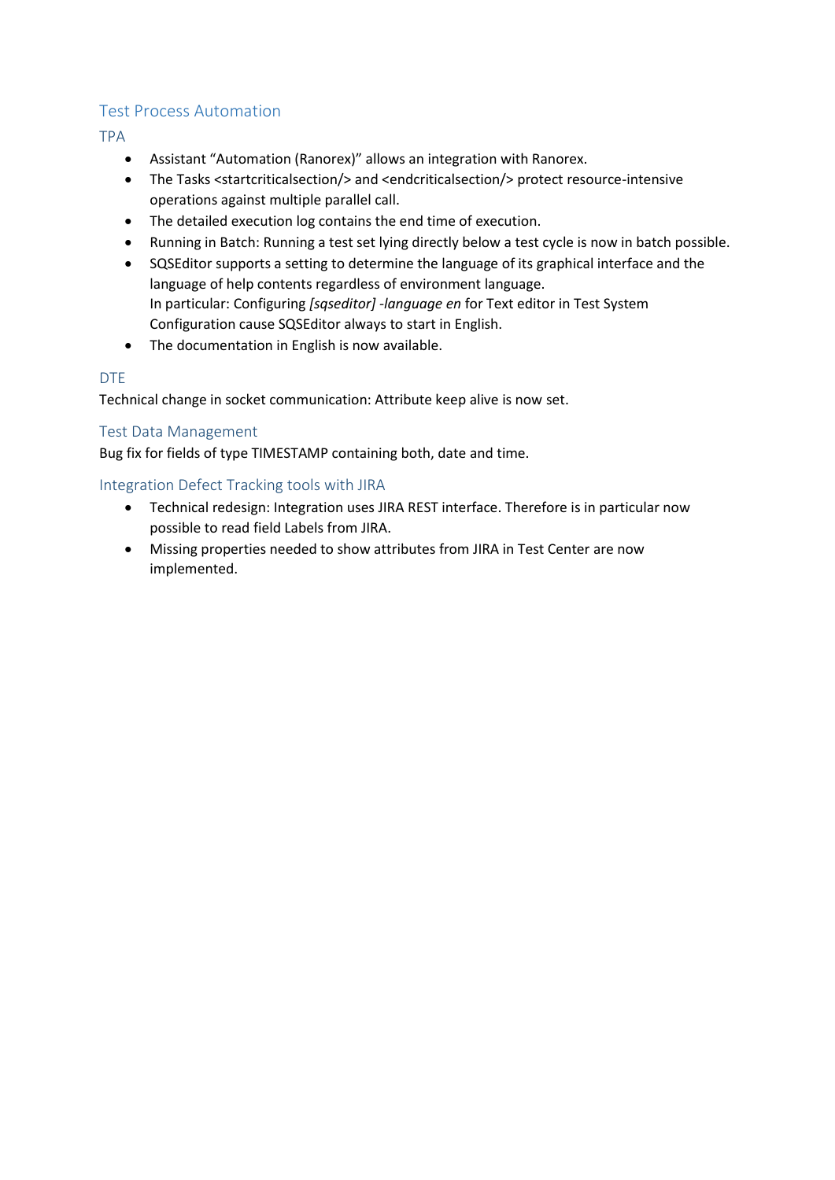## <span id="page-35-0"></span>Test Process Automation

<span id="page-35-1"></span>TPA

- Assistant "Automation (Ranorex)" allows an integration with Ranorex.
- The Tasks <startcriticalsection/> and <endcriticalsection/> protect resource-intensive operations against multiple parallel call.
- The detailed execution log contains the end time of execution.
- Running in Batch: Running a test set lying directly below a test cycle is now in batch possible.
- SQSEditor supports a setting to determine the language of its graphical interface and the language of help contents regardless of environment language. In particular: Configuring *[sqseditor] -language en* for Text editor in Test System Configuration cause SQSEditor always to start in English.
- The documentation in English is now available.

## <span id="page-35-2"></span>DTE

Technical change in socket communication: Attribute keep alive is now set.

## <span id="page-35-3"></span>Test Data Management

Bug fix for fields of type TIMESTAMP containing both, date and time.

## <span id="page-35-4"></span>Integration Defect Tracking tools with JIRA

- Technical redesign: Integration uses JIRA REST interface. Therefore is in particular now possible to read field Labels from JIRA.
- Missing properties needed to show attributes from JIRA in Test Center are now implemented.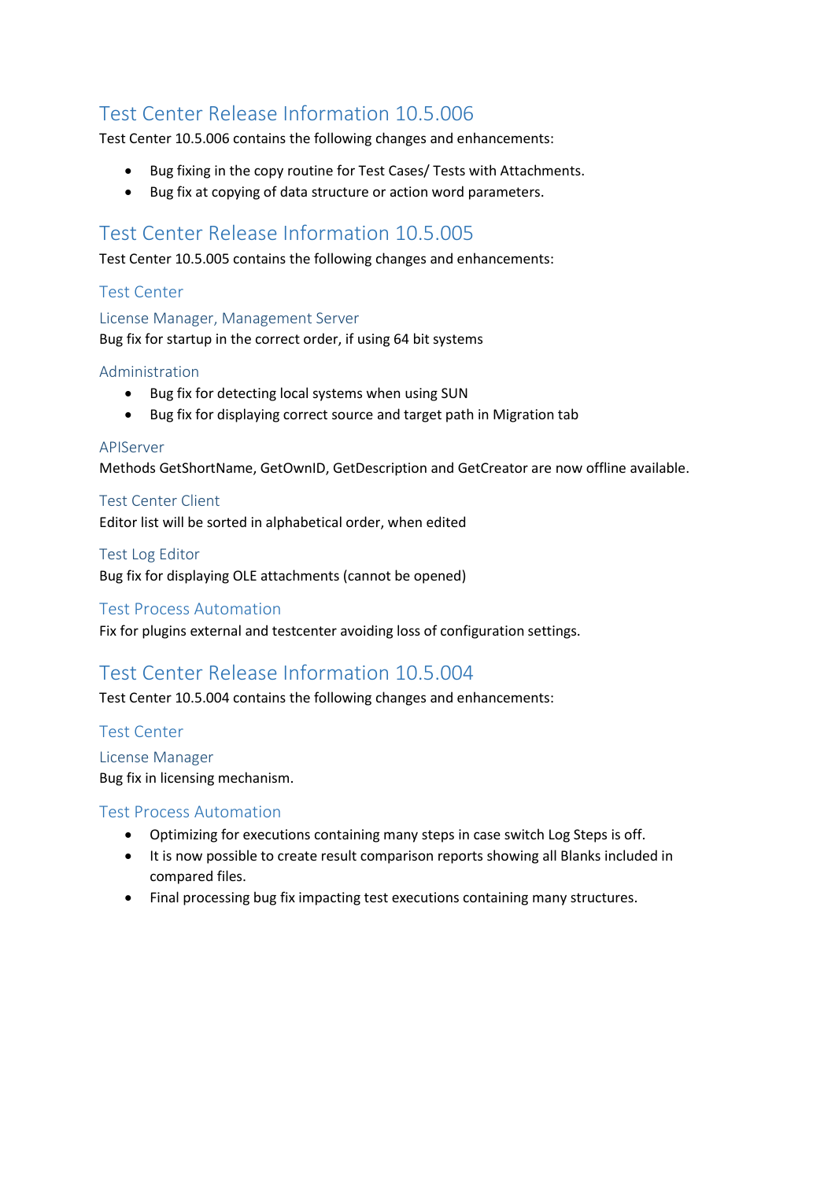<span id="page-36-0"></span>Test Center 10.5.006 contains the following changes and enhancements:

- Bug fixing in the copy routine for Test Cases/ Tests with Attachments.
- Bug fix at copying of data structure or action word parameters.

## <span id="page-36-1"></span>Test Center Release Information 10.5.005

Test Center 10.5.005 contains the following changes and enhancements:

## <span id="page-36-2"></span>Test Center

<span id="page-36-3"></span>License Manager, Management Server Bug fix for startup in the correct order, if using 64 bit systems

## <span id="page-36-4"></span>Administration

- Bug fix for detecting local systems when using SUN
- Bug fix for displaying correct source and target path in Migration tab

#### <span id="page-36-5"></span>APIServer

Methods GetShortName, GetOwnID, GetDescription and GetCreator are now offline available.

#### <span id="page-36-6"></span>Test Center Client

Editor list will be sorted in alphabetical order, when edited

#### <span id="page-36-7"></span>Test Log Editor

Bug fix for displaying OLE attachments (cannot be opened)

## <span id="page-36-8"></span>Test Process Automation

Fix for plugins external and testcenter avoiding loss of configuration settings.

## <span id="page-36-9"></span>Test Center Release Information 10.5.004

Test Center 10.5.004 contains the following changes and enhancements:

## <span id="page-36-10"></span>Test Center

<span id="page-36-11"></span>License Manager Bug fix in licensing mechanism.

#### <span id="page-36-12"></span>Test Process Automation

- Optimizing for executions containing many steps in case switch Log Steps is off.
- It is now possible to create result comparison reports showing all Blanks included in compared files.
- Final processing bug fix impacting test executions containing many structures.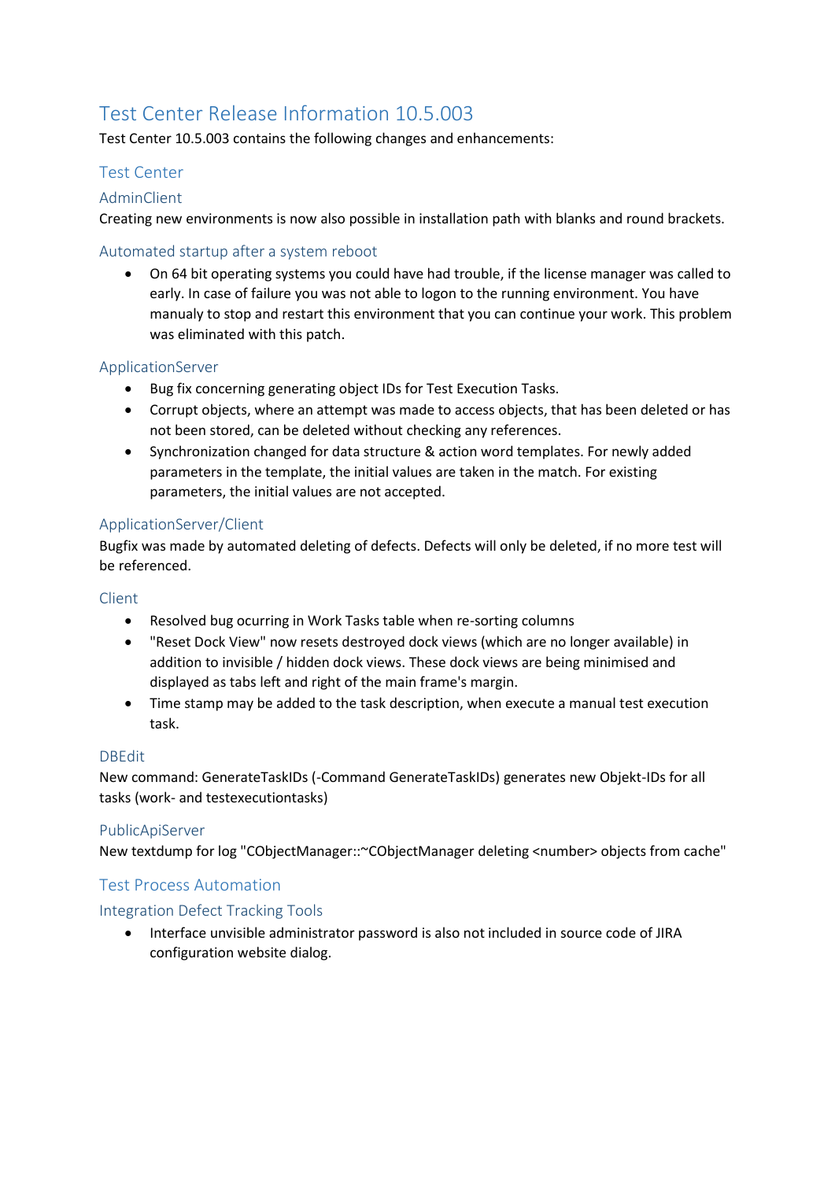<span id="page-37-0"></span>Test Center 10.5.003 contains the following changes and enhancements:

## <span id="page-37-1"></span>Test Center

## <span id="page-37-2"></span>AdminClient

Creating new environments is now also possible in installation path with blanks and round brackets.

## <span id="page-37-3"></span>Automated startup after a system reboot

• On 64 bit operating systems you could have had trouble, if the license manager was called to early. In case of failure you was not able to logon to the running environment. You have manualy to stop and restart this environment that you can continue your work. This problem was eliminated with this patch.

#### <span id="page-37-4"></span>ApplicationServer

- Bug fix concerning generating object IDs for Test Execution Tasks.
- Corrupt objects, where an attempt was made to access objects, that has been deleted or has not been stored, can be deleted without checking any references.
- Synchronization changed for data structure & action word templates. For newly added parameters in the template, the initial values are taken in the match. For existing parameters, the initial values are not accepted.

#### <span id="page-37-5"></span>ApplicationServer/Client

Bugfix was made by automated deleting of defects. Defects will only be deleted, if no more test will be referenced.

#### <span id="page-37-6"></span>Client

- Resolved bug ocurring in Work Tasks table when re-sorting columns
- "Reset Dock View" now resets destroyed dock views (which are no longer available) in addition to invisible / hidden dock views. These dock views are being minimised and displayed as tabs left and right of the main frame's margin.
- Time stamp may be added to the task description, when execute a manual test execution task.

#### <span id="page-37-7"></span>DBEdit

New command: GenerateTaskIDs (-Command GenerateTaskIDs) generates new Objekt-IDs for all tasks (work- and testexecutiontasks)

#### <span id="page-37-8"></span>PublicApiServer

New textdump for log "CObjectManager::~CObjectManager deleting <number> objects from cache"

## <span id="page-37-9"></span>Test Process Automation

## <span id="page-37-10"></span>Integration Defect Tracking Tools

• Interface unvisible administrator password is also not included in source code of JIRA configuration website dialog.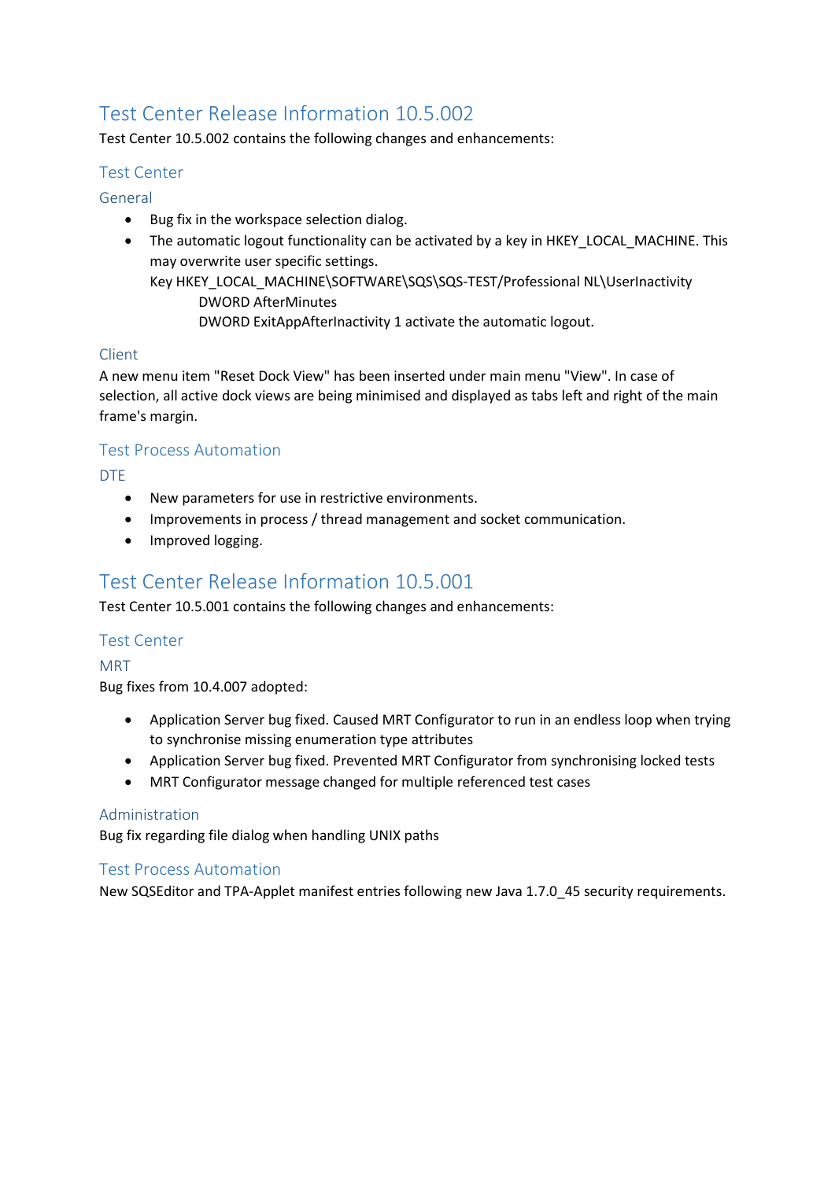<span id="page-38-0"></span>Test Center 10.5.002 contains the following changes and enhancements:

## <span id="page-38-1"></span>Test Center

<span id="page-38-2"></span>General

- Bug fix in the workspace selection dialog.
- The automatic logout functionality can be activated by a key in HKEY\_LOCAL\_MACHINE. This may overwrite user specific settings. Key HKEY\_LOCAL\_MACHINE\SOFTWARE\SQS\SQS-TEST/Professional NL\UserInactivity DWORD AfterMinutes DWORD ExitAppAfterInactivity 1 activate the automatic logout.

## <span id="page-38-3"></span>Client

A new menu item "Reset Dock View" has been inserted under main menu "View". In case of selection, all active dock views are being minimised and displayed as tabs left and right of the main frame's margin.

## <span id="page-38-4"></span>Test Process Automation

<span id="page-38-5"></span>DTE

- New parameters for use in restrictive environments.
- Improvements in process / thread management and socket communication.
- Improved logging.

## <span id="page-38-6"></span>Test Center Release Information 10.5.001

Test Center 10.5.001 contains the following changes and enhancements:

## <span id="page-38-7"></span>Test Center

<span id="page-38-8"></span>MRT

Bug fixes from 10.4.007 adopted:

- Application Server bug fixed. Caused MRT Configurator to run in an endless loop when trying to synchronise missing enumeration type attributes
- Application Server bug fixed. Prevented MRT Configurator from synchronising locked tests
- MRT Configurator message changed for multiple referenced test cases

## <span id="page-38-9"></span>Administration

Bug fix regarding file dialog when handling UNIX paths

## <span id="page-38-10"></span>Test Process Automation

New SQSEditor and TPA-Applet manifest entries following new Java 1.7.0\_45 security requirements.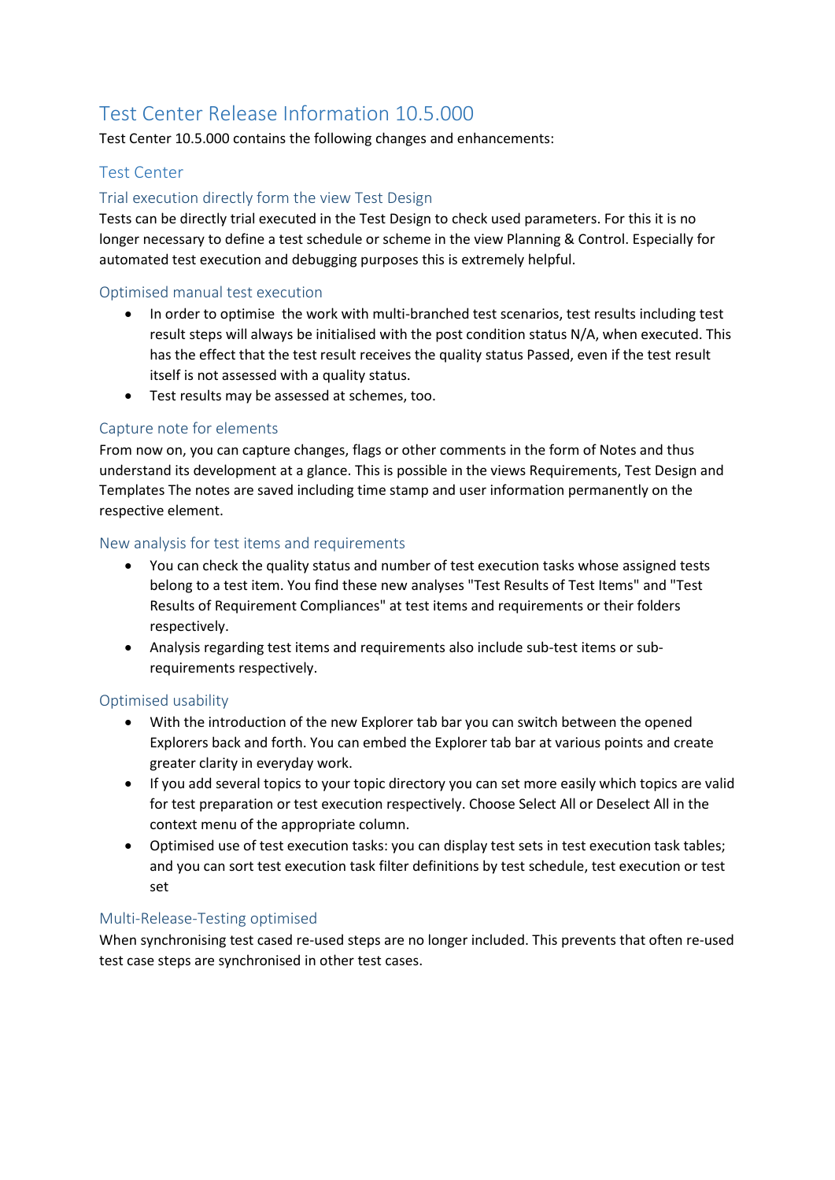<span id="page-39-0"></span>Test Center 10.5.000 contains the following changes and enhancements:

## <span id="page-39-1"></span>Test Center

#### <span id="page-39-2"></span>Trial execution directly form the view Test Design

Tests can be directly trial executed in the Test Design to check used parameters. For this it is no longer necessary to define a test schedule or scheme in the view Planning & Control. Especially for automated test execution and debugging purposes this is extremely helpful.

#### <span id="page-39-3"></span>Optimised manual test execution

- In order to optimise the work with multi-branched test scenarios, test results including test result steps will always be initialised with the post condition status N/A, when executed. This has the effect that the test result receives the quality status Passed, even if the test result itself is not assessed with a quality status.
- Test results may be assessed at schemes, too.

## <span id="page-39-4"></span>Capture note for elements

From now on, you can capture changes, flags or other comments in the form of Notes and thus understand its development at a glance. This is possible in the views Requirements, Test Design and Templates The notes are saved including time stamp and user information permanently on the respective element.

#### <span id="page-39-5"></span>New analysis for test items and requirements

- You can check the quality status and number of test execution tasks whose assigned tests belong to a test item. You find these new analyses "Test Results of Test Items" and "Test Results of Requirement Compliances" at test items and requirements or their folders respectively.
- Analysis regarding test items and requirements also include sub-test items or subrequirements respectively.

## <span id="page-39-6"></span>Optimised usability

- With the introduction of the new Explorer tab bar you can switch between the opened Explorers back and forth. You can embed the Explorer tab bar at various points and create greater clarity in everyday work.
- If you add several topics to your topic directory you can set more easily which topics are valid for test preparation or test execution respectively. Choose Select All or Deselect All in the context menu of the appropriate column.
- Optimised use of test execution tasks: you can display test sets in test execution task tables; and you can sort test execution task filter definitions by test schedule, test execution or test set

#### <span id="page-39-7"></span>Multi-Release-Testing optimised

When synchronising test cased re-used steps are no longer included. This prevents that often re-used test case steps are synchronised in other test cases.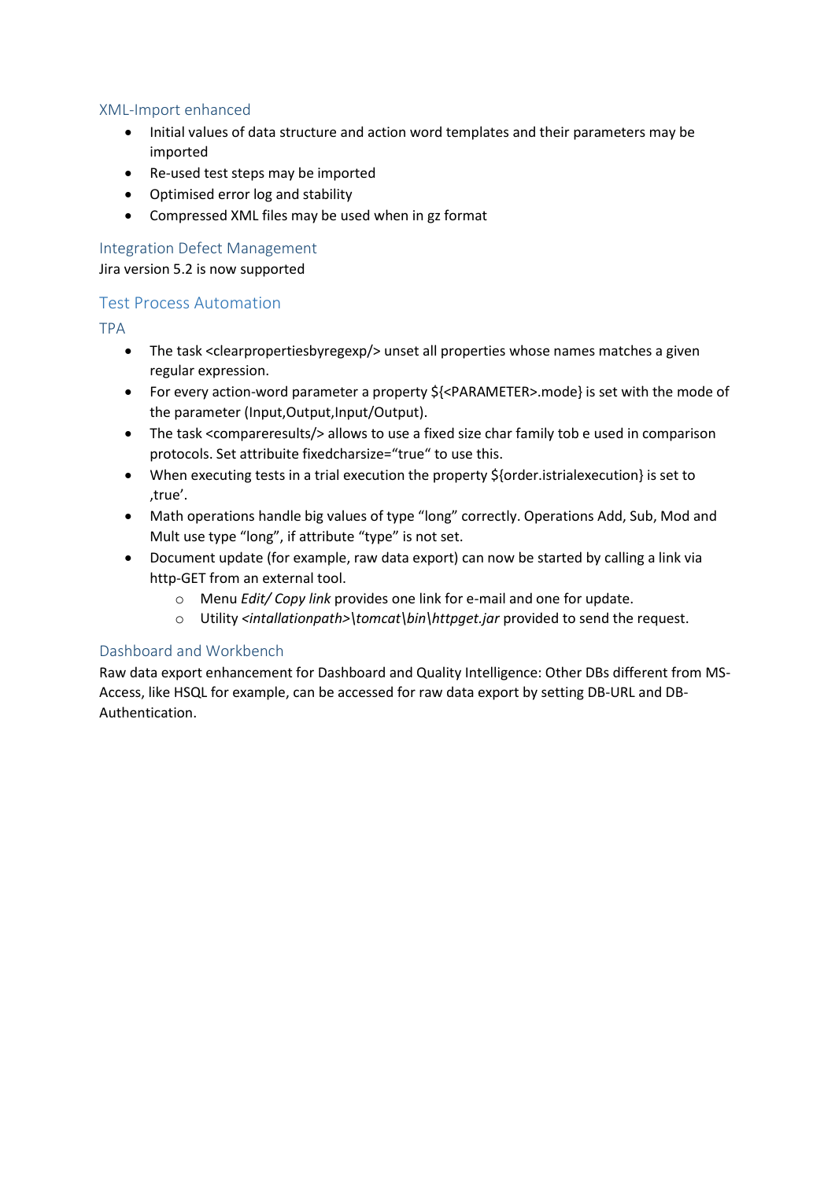## <span id="page-40-0"></span>XML-Import enhanced

- Initial values of data structure and action word templates and their parameters may be imported
- Re-used test steps may be imported
- Optimised error log and stability
- Compressed XML files may be used when in gz format

## <span id="page-40-1"></span>Integration Defect Management

Jira version 5.2 is now supported

## <span id="page-40-2"></span>Test Process Automation

<span id="page-40-3"></span>TPA

- The task <clearpropertiesbyregexp/> unset all properties whose names matches a given regular expression.
- For every action-word parameter a property \${<PARAMETER>.mode} is set with the mode of the parameter (Input,Output,Input/Output).
- The task <compareresults/> allows to use a fixed size char family tob e used in comparison protocols. Set attribuite fixedcharsize="true" to use this.
- When executing tests in a trial execution the property \${order.istrialexecution} is set to 'true'.
- Math operations handle big values of type "long" correctly. Operations Add, Sub, Mod and Mult use type "long", if attribute "type" is not set.
- Document update (for example, raw data export) can now be started by calling a link via http-GET from an external tool.
	- o Menu *Edit/ Copy link* provides one link for e-mail and one for update.
	- o Utility *<intallationpath>\tomcat\bin\httpget.jar* provided to send the request.

## <span id="page-40-4"></span>Dashboard and Workbench

Raw data export enhancement for Dashboard and Quality Intelligence: Other DBs different from MS-Access, like HSQL for example, can be accessed for raw data export by setting DB-URL and DB-Authentication.